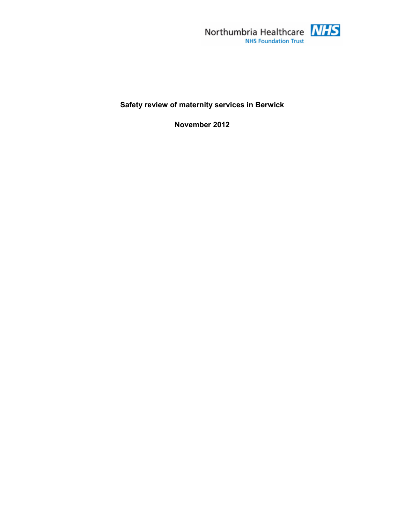

# **Safety review of maternity services in Berwick**

**November 2012**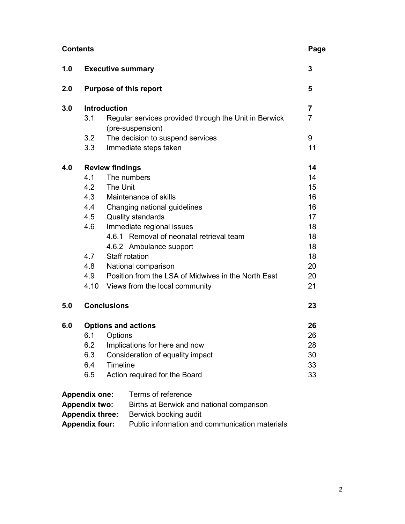| <b>Contents</b>                                                   |                               |                                                       |                |  |
|-------------------------------------------------------------------|-------------------------------|-------------------------------------------------------|----------------|--|
| 1.0                                                               | <b>Executive summary</b>      |                                                       |                |  |
| 2.0                                                               | <b>Purpose of this report</b> |                                                       |                |  |
| 3.0                                                               | <b>Introduction</b>           |                                                       |                |  |
|                                                                   | 3.1                           | Regular services provided through the Unit in Berwick | $\overline{7}$ |  |
|                                                                   |                               | (pre-suspension)                                      | 9              |  |
|                                                                   | 3.2<br>3.3                    | The decision to suspend services                      | 11             |  |
|                                                                   |                               | Immediate steps taken                                 |                |  |
| 4.0                                                               | <b>Review findings</b>        |                                                       |                |  |
|                                                                   | 4.1                           | The numbers                                           | 14             |  |
|                                                                   | 4.2                           | The Unit                                              | 15             |  |
|                                                                   | 4.3                           | Maintenance of skills                                 | 16             |  |
|                                                                   | 4.4                           | Changing national guidelines                          | 16             |  |
|                                                                   | 4.5                           | Quality standards                                     | 17             |  |
|                                                                   | 4.6                           | Immediate regional issues                             | 18             |  |
|                                                                   |                               | 4.6.1 Removal of neonatal retrieval team              | 18             |  |
|                                                                   |                               | 4.6.2 Ambulance support                               | 18             |  |
|                                                                   | 4.7                           | Staff rotation                                        | 18             |  |
|                                                                   | 4.8                           | National comparison                                   | 20             |  |
|                                                                   | 4.9                           | Position from the LSA of Midwives in the North East   | 20             |  |
|                                                                   |                               | 4.10 Views from the local community                   | 21             |  |
| 5.0                                                               | <b>Conclusions</b>            |                                                       | 23             |  |
| 6.0                                                               | <b>Options and actions</b>    |                                                       | 26             |  |
|                                                                   | 6.1                           | Options                                               | 26             |  |
|                                                                   | 6.2                           | Implications for here and now                         | 28             |  |
|                                                                   | 6.3                           | Consideration of equality impact                      | 30             |  |
|                                                                   | 6.4                           | Timeline                                              | 33             |  |
|                                                                   | 6.5                           | Action required for the Board                         | 33             |  |
|                                                                   | <b>Appendix one:</b>          | Terms of reference                                    |                |  |
| <b>Appendix two:</b><br>Births at Berwick and national comparison |                               |                                                       |                |  |
| <b>Appendix three:</b><br>Berwick booking audit                   |                               |                                                       |                |  |

**Appendix four:** Public information and communication materials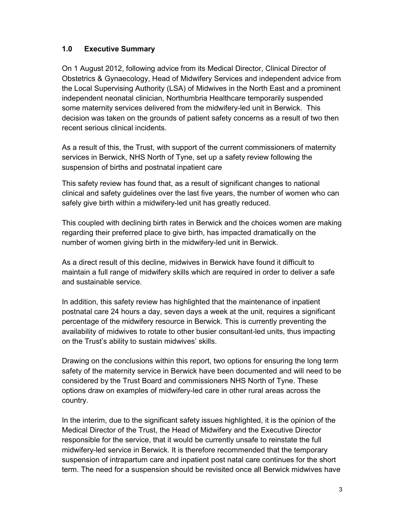# **1.0 Executive Summary**

On 1 August 2012, following advice from its Medical Director, Clinical Director of Obstetrics & Gynaecology, Head of Midwifery Services and independent advice from the Local Supervising Authority (LSA) of Midwives in the North East and a prominent independent neonatal clinician, Northumbria Healthcare temporarily suspended some maternity services delivered from the midwifery-led unit in Berwick. This decision was taken on the grounds of patient safety concerns as a result of two then recent serious clinical incidents.

As a result of this, the Trust, with support of the current commissioners of maternity services in Berwick, NHS North of Tyne, set up a safety review following the suspension of births and postnatal inpatient care

This safety review has found that, as a result of significant changes to national clinical and safety guidelines over the last five years, the number of women who can safely give birth within a midwifery-led unit has greatly reduced.

This coupled with declining birth rates in Berwick and the choices women are making regarding their preferred place to give birth, has impacted dramatically on the number of women giving birth in the midwifery-led unit in Berwick.

As a direct result of this decline, midwives in Berwick have found it difficult to maintain a full range of midwifery skills which are required in order to deliver a safe and sustainable service.

In addition, this safety review has highlighted that the maintenance of inpatient postnatal care 24 hours a day, seven days a week at the unit, requires a significant percentage of the midwifery resource in Berwick. This is currently preventing the availability of midwives to rotate to other busier consultant-led units, thus impacting on the Trust's ability to sustain midwives' skills.

Drawing on the conclusions within this report, two options for ensuring the long term safety of the maternity service in Berwick have been documented and will need to be considered by the Trust Board and commissioners NHS North of Tyne. These options draw on examples of midwifery-led care in other rural areas across the country.

In the interim, due to the significant safety issues highlighted, it is the opinion of the Medical Director of the Trust, the Head of Midwifery and the Executive Director responsible for the service, that it would be currently unsafe to reinstate the full midwifery-led service in Berwick. It is therefore recommended that the temporary suspension of intrapartum care and inpatient post natal care continues for the short term. The need for a suspension should be revisited once all Berwick midwives have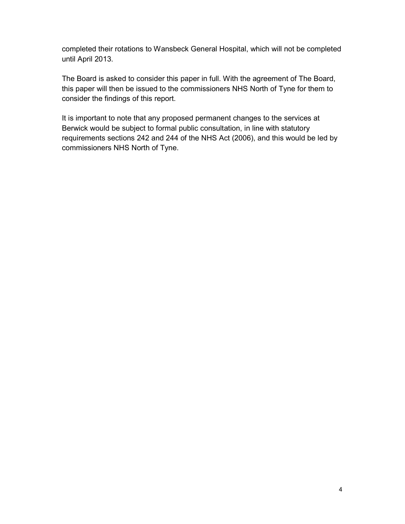completed their rotations to Wansbeck General Hospital, which will not be completed until April 2013.

The Board is asked to consider this paper in full. With the agreement of The Board, this paper will then be issued to the commissioners NHS North of Tyne for them to consider the findings of this report.

It is important to note that any proposed permanent changes to the services at Berwick would be subject to formal public consultation, in line with statutory requirements sections 242 and 244 of the NHS Act (2006), and this would be led by commissioners NHS North of Tyne.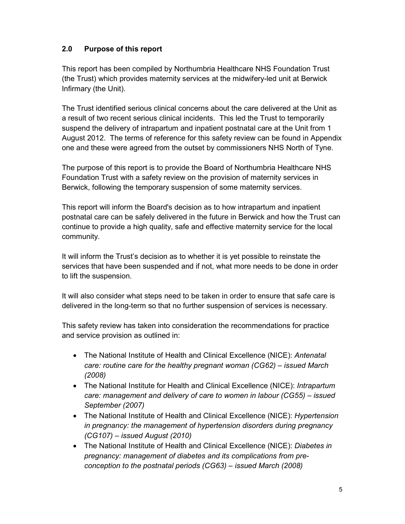# **2.0 Purpose of this report**

This report has been compiled by Northumbria Healthcare NHS Foundation Trust (the Trust) which provides maternity services at the midwifery-led unit at Berwick Infirmary (the Unit).

The Trust identified serious clinical concerns about the care delivered at the Unit as a result of two recent serious clinical incidents. This led the Trust to temporarily suspend the delivery of intrapartum and inpatient postnatal care at the Unit from 1 August 2012. The terms of reference for this safety review can be found in Appendix one and these were agreed from the outset by commissioners NHS North of Tyne.

The purpose of this report is to provide the Board of Northumbria Healthcare NHS Foundation Trust with a safety review on the provision of maternity services in Berwick, following the temporary suspension of some maternity services.

This report will inform the Board's decision as to how intrapartum and inpatient postnatal care can be safely delivered in the future in Berwick and how the Trust can continue to provide a high quality, safe and effective maternity service for the local community.

It will inform the Trust's decision as to whether it is yet possible to reinstate the services that have been suspended and if not, what more needs to be done in order to lift the suspension.

It will also consider what steps need to be taken in order to ensure that safe care is delivered in the long-term so that no further suspension of services is necessary.

This safety review has taken into consideration the recommendations for practice and service provision as outlined in:

- The National Institute of Health and Clinical Excellence (NICE): *Antenatal care: routine care for the healthy pregnant woman (CG62) – issued March (2008)*
- The National Institute for Health and Clinical Excellence (NICE): *Intrapartum care: management and delivery of care to women in labour (CG55) – issued September (2007)*
- The National Institute of Health and Clinical Excellence (NICE): *Hypertension in pregnancy: the management of hypertension disorders during pregnancy (CG107) – issued August (2010)*
- The National Institute of Health and Clinical Excellence (NICE): *Diabetes in pregnancy: management of diabetes and its complications from preconception to the postnatal periods (CG63) – issued March (2008)*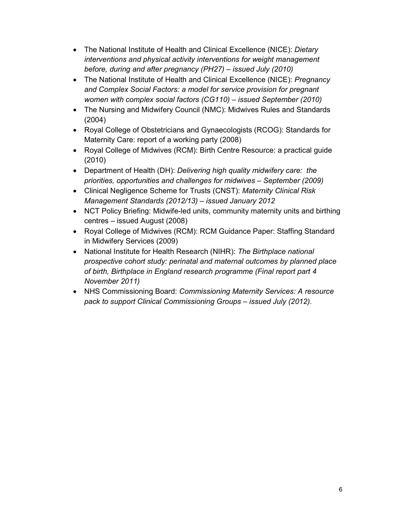- The National Institute of Health and Clinical Excellence (NICE): *Dietary interventions and physical activity interventions for weight management before, during and after pregnancy (PH27) – issued July (2010)*
- The National Institute of Health and Clinical Excellence (NICE): *Pregnancy and Complex Social Factors: a model for service provision for pregnant women with complex social factors (CG110) – issued September (2010)*
- The Nursing and Midwifery Council (NMC): Midwives Rules and Standards (2004)
- Royal College of Obstetricians and Gynaecologists (RCOG): Standards for Maternity Care: report of a working party (2008)
- Royal College of Midwives (RCM): Birth Centre Resource: a practical guide (2010)
- Department of Health (DH): *Delivering high quality midwifery care: the priorities, opportunities and challenges for midwives – September (2009)*
- Clinical Negligence Scheme for Trusts (CNST): *Maternity Clinical Risk Management Standards (2012/13) – issued January 2012*
- NCT Policy Briefing: Midwife-led units, community maternity units and birthing centres – issued August (2008)
- Royal College of Midwives (RCM): RCM Guidance Paper: Staffing Standard in Midwifery Services (2009)
- National Institute for Health Research (NIHR): *The Birthplace national prospective cohort study: perinatal and maternal outcomes by planned place of birth, Birthplace in England research programme (Final report part 4 November 2011)*
- NHS Commissioning Board: *Commissioning Maternity Services: A resource pack to support Clinical Commissioning Groups – issued July (2012).*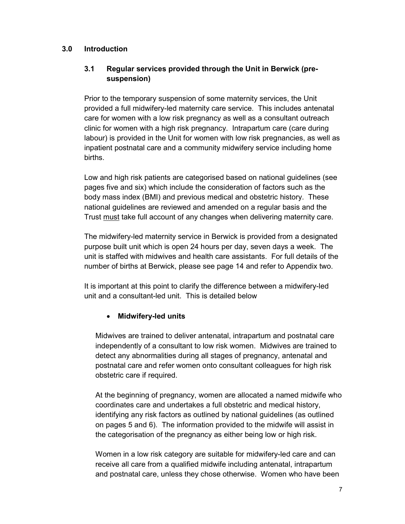## **3.0 Introduction**

## **3.1 Regular services provided through the Unit in Berwick (presuspension)**

Prior to the temporary suspension of some maternity services, the Unit provided a full midwifery-led maternity care service. This includes antenatal care for women with a low risk pregnancy as well as a consultant outreach clinic for women with a high risk pregnancy. Intrapartum care (care during labour) is provided in the Unit for women with low risk pregnancies, as well as inpatient postnatal care and a community midwifery service including home births.

Low and high risk patients are categorised based on national guidelines (see pages five and six) which include the consideration of factors such as the body mass index (BMI) and previous medical and obstetric history. These national guidelines are reviewed and amended on a regular basis and the Trust must take full account of any changes when delivering maternity care.

The midwifery-led maternity service in Berwick is provided from a designated purpose built unit which is open 24 hours per day, seven days a week. The unit is staffed with midwives and health care assistants. For full details of the number of births at Berwick, please see page 14 and refer to Appendix two.

It is important at this point to clarify the difference between a midwifery-led unit and a consultant-led unit. This is detailed below

## • **Midwifery-led units**

Midwives are trained to deliver antenatal, intrapartum and postnatal care independently of a consultant to low risk women. Midwives are trained to detect any abnormalities during all stages of pregnancy, antenatal and postnatal care and refer women onto consultant colleagues for high risk obstetric care if required.

At the beginning of pregnancy, women are allocated a named midwife who coordinates care and undertakes a full obstetric and medical history, identifying any risk factors as outlined by national guidelines (as outlined on pages 5 and 6). The information provided to the midwife will assist in the categorisation of the pregnancy as either being low or high risk.

Women in a low risk category are suitable for midwifery-led care and can receive all care from a qualified midwife including antenatal, intrapartum and postnatal care, unless they chose otherwise. Women who have been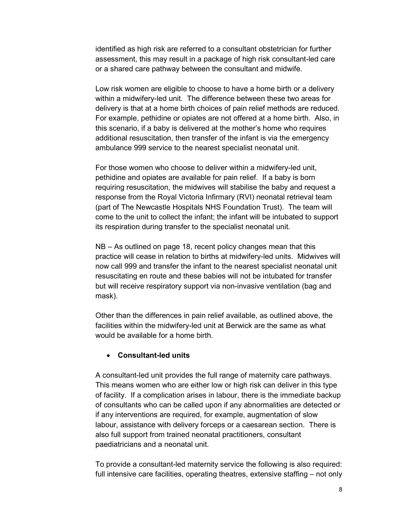identified as high risk are referred to a consultant obstetrician for further assessment, this may result in a package of high risk consultant-led care or a shared care pathway between the consultant and midwife.

Low risk women are eligible to choose to have a home birth or a delivery within a midwifery-led unit. The difference between these two areas for delivery is that at a home birth choices of pain relief methods are reduced. For example, pethidine or opiates are not offered at a home birth. Also, in this scenario, if a baby is delivered at the mother's home who requires additional resuscitation, then transfer of the infant is via the emergency ambulance 999 service to the nearest specialist neonatal unit.

For those women who choose to deliver within a midwifery-led unit, pethidine and opiates are available for pain relief. If a baby is born requiring resuscitation, the midwives will stabilise the baby and request a response from the Royal Victoria Infirmary (RVI) neonatal retrieval team (part of The Newcastle Hospitals NHS Foundation Trust). The team will come to the unit to collect the infant; the infant will be intubated to support its respiration during transfer to the specialist neonatal unit.

NB – As outlined on page 18, recent policy changes mean that this practice will cease in relation to births at midwifery-led units. Midwives will now call 999 and transfer the infant to the nearest specialist neonatal unit resuscitating en route and these babies will not be intubated for transfer but will receive respiratory support via non-invasive ventilation (bag and mask).

Other than the differences in pain relief available, as outlined above, the facilities within the midwifery-led unit at Berwick are the same as what would be available for a home birth.

#### • **Consultant-led units**

A consultant-led unit provides the full range of maternity care pathways. This means women who are either low or high risk can deliver in this type of facility. If a complication arises in labour, there is the immediate backup of consultants who can be called upon if any abnormalities are detected or if any interventions are required, for example, augmentation of slow labour, assistance with delivery forceps or a caesarean section. There is also full support from trained neonatal practitioners, consultant paediatricians and a neonatal unit.

To provide a consultant-led maternity service the following is also required: full intensive care facilities, operating theatres, extensive staffing – not only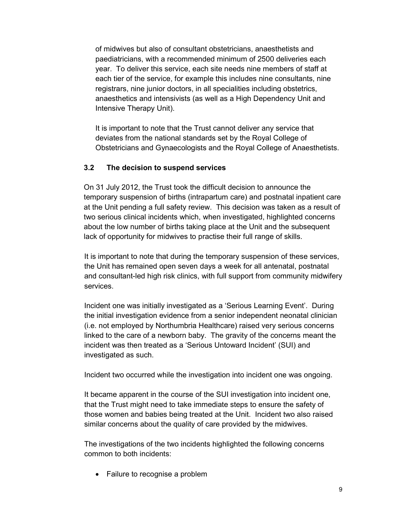of midwives but also of consultant obstetricians, anaesthetists and paediatricians, with a recommended minimum of 2500 deliveries each year. To deliver this service, each site needs nine members of staff at each tier of the service, for example this includes nine consultants, nine registrars, nine junior doctors, in all specialities including obstetrics, anaesthetics and intensivists (as well as a High Dependency Unit and Intensive Therapy Unit).

It is important to note that the Trust cannot deliver any service that deviates from the national standards set by the Royal College of Obstetricians and Gynaecologists and the Royal College of Anaesthetists.

## **3.2 The decision to suspend services**

On 31 July 2012, the Trust took the difficult decision to announce the temporary suspension of births (intrapartum care) and postnatal inpatient care at the Unit pending a full safety review. This decision was taken as a result of two serious clinical incidents which, when investigated, highlighted concerns about the low number of births taking place at the Unit and the subsequent lack of opportunity for midwives to practise their full range of skills.

It is important to note that during the temporary suspension of these services, the Unit has remained open seven days a week for all antenatal, postnatal and consultant-led high risk clinics, with full support from community midwifery services.

Incident one was initially investigated as a 'Serious Learning Event'. During the initial investigation evidence from a senior independent neonatal clinician (i.e. not employed by Northumbria Healthcare) raised very serious concerns linked to the care of a newborn baby. The gravity of the concerns meant the incident was then treated as a 'Serious Untoward Incident' (SUI) and investigated as such.

Incident two occurred while the investigation into incident one was ongoing.

It became apparent in the course of the SUI investigation into incident one, that the Trust might need to take immediate steps to ensure the safety of those women and babies being treated at the Unit. Incident two also raised similar concerns about the quality of care provided by the midwives.

The investigations of the two incidents highlighted the following concerns common to both incidents:

• Failure to recognise a problem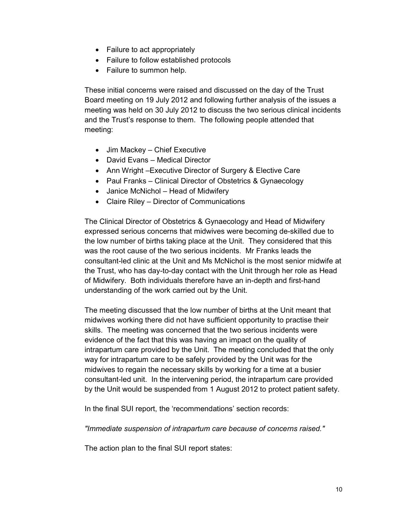- Failure to act appropriately
- Failure to follow established protocols
- Failure to summon help.

These initial concerns were raised and discussed on the day of the Trust Board meeting on 19 July 2012 and following further analysis of the issues a meeting was held on 30 July 2012 to discuss the two serious clinical incidents and the Trust's response to them. The following people attended that meeting:

- Jim Mackey Chief Executive
- David Evans Medical Director
- Ann Wright –Executive Director of Surgery & Elective Care
- Paul Franks Clinical Director of Obstetrics & Gynaecology
- Janice McNichol Head of Midwifery
- Claire Riley Director of Communications

The Clinical Director of Obstetrics & Gynaecology and Head of Midwifery expressed serious concerns that midwives were becoming de-skilled due to the low number of births taking place at the Unit. They considered that this was the root cause of the two serious incidents. Mr Franks leads the consultant-led clinic at the Unit and Ms McNichol is the most senior midwife at the Trust, who has day-to-day contact with the Unit through her role as Head of Midwifery. Both individuals therefore have an in-depth and first-hand understanding of the work carried out by the Unit.

The meeting discussed that the low number of births at the Unit meant that midwives working there did not have sufficient opportunity to practise their skills. The meeting was concerned that the two serious incidents were evidence of the fact that this was having an impact on the quality of intrapartum care provided by the Unit. The meeting concluded that the only way for intrapartum care to be safely provided by the Unit was for the midwives to regain the necessary skills by working for a time at a busier consultant-led unit. In the intervening period, the intrapartum care provided by the Unit would be suspended from 1 August 2012 to protect patient safety.

In the final SUI report, the 'recommendations' section records:

*"Immediate suspension of intrapartum care because of concerns raised."* 

The action plan to the final SUI report states: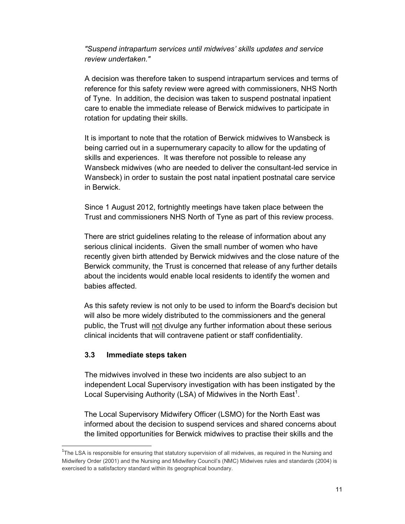*"Suspend intrapartum services until midwives' skills updates and service review undertaken."* 

A decision was therefore taken to suspend intrapartum services and terms of reference for this safety review were agreed with commissioners, NHS North of Tyne. In addition, the decision was taken to suspend postnatal inpatient care to enable the immediate release of Berwick midwives to participate in rotation for updating their skills.

It is important to note that the rotation of Berwick midwives to Wansbeck is being carried out in a supernumerary capacity to allow for the updating of skills and experiences. It was therefore not possible to release any Wansbeck midwives (who are needed to deliver the consultant-led service in Wansbeck) in order to sustain the post natal inpatient postnatal care service in Berwick.

Since 1 August 2012, fortnightly meetings have taken place between the Trust and commissioners NHS North of Tyne as part of this review process.

There are strict guidelines relating to the release of information about any serious clinical incidents. Given the small number of women who have recently given birth attended by Berwick midwives and the close nature of the Berwick community, the Trust is concerned that release of any further details about the incidents would enable local residents to identify the women and babies affected.

As this safety review is not only to be used to inform the Board's decision but will also be more widely distributed to the commissioners and the general public, the Trust will not divulge any further information about these serious clinical incidents that will contravene patient or staff confidentiality.

## **3.3 Immediate steps taken**

<u>.</u>

The midwives involved in these two incidents are also subject to an independent Local Supervisory investigation with has been instigated by the Local Supervising Authority (LSA) of Midwives in the North East<sup>1</sup>.

The Local Supervisory Midwifery Officer (LSMO) for the North East was informed about the decision to suspend services and shared concerns about the limited opportunities for Berwick midwives to practise their skills and the

<sup>&</sup>lt;sup>1</sup>The LSA is responsible for ensuring that statutory supervision of all midwives, as required in the Nursing and Midwifery Order (2001) and the Nursing and Midwifery Council's (NMC) Midwives rules and standards (2004) is exercised to a satisfactory standard within its geographical boundary.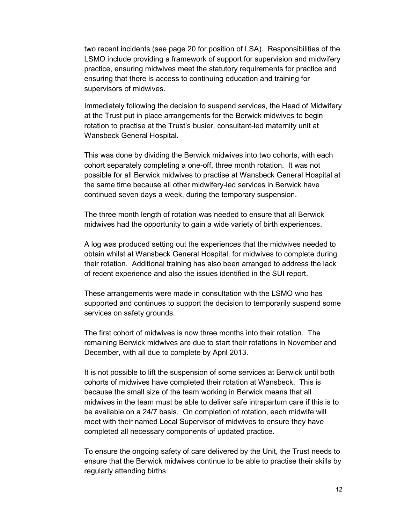two recent incidents (see page 20 for position of LSA). Responsibilities of the LSMO include providing a framework of support for supervision and midwifery practice, ensuring midwives meet the statutory requirements for practice and ensuring that there is access to continuing education and training for supervisors of midwives.

Immediately following the decision to suspend services, the Head of Midwifery at the Trust put in place arrangements for the Berwick midwives to begin rotation to practise at the Trust's busier, consultant-led maternity unit at Wansbeck General Hospital.

This was done by dividing the Berwick midwives into two cohorts, with each cohort separately completing a one-off, three month rotation. It was not possible for all Berwick midwives to practise at Wansbeck General Hospital at the same time because all other midwifery-led services in Berwick have continued seven days a week, during the temporary suspension.

The three month length of rotation was needed to ensure that all Berwick midwives had the opportunity to gain a wide variety of birth experiences.

A log was produced setting out the experiences that the midwives needed to obtain whilst at Wansbeck General Hospital, for midwives to complete during their rotation. Additional training has also been arranged to address the lack of recent experience and also the issues identified in the SUI report.

These arrangements were made in consultation with the LSMO who has supported and continues to support the decision to temporarily suspend some services on safety grounds.

The first cohort of midwives is now three months into their rotation. The remaining Berwick midwives are due to start their rotations in November and December, with all due to complete by April 2013.

It is not possible to lift the suspension of some services at Berwick until both cohorts of midwives have completed their rotation at Wansbeck. This is because the small size of the team working in Berwick means that all midwives in the team must be able to deliver safe intrapartum care if this is to be available on a 24/7 basis. On completion of rotation, each midwife will meet with their named Local Supervisor of midwives to ensure they have completed all necessary components of updated practice.

To ensure the ongoing safety of care delivered by the Unit, the Trust needs to ensure that the Berwick midwives continue to be able to practise their skills by regularly attending births.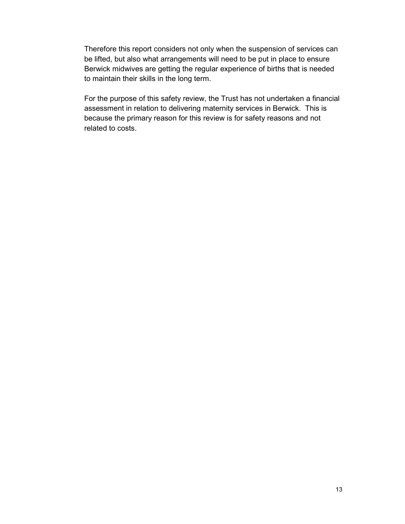Therefore this report considers not only when the suspension of services can be lifted, but also what arrangements will need to be put in place to ensure Berwick midwives are getting the regular experience of births that is needed to maintain their skills in the long term.

For the purpose of this safety review, the Trust has not undertaken a financial assessment in relation to delivering maternity services in Berwick. This is because the primary reason for this review is for safety reasons and not related to costs.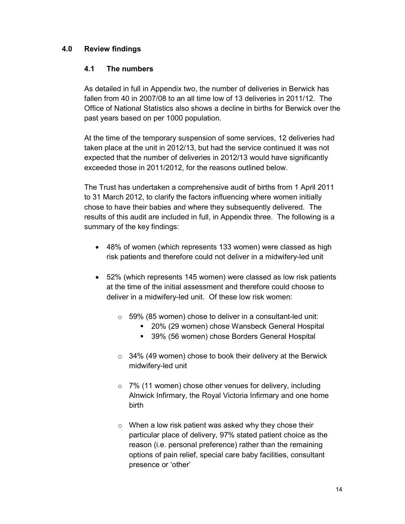## **4.0 Review findings**

## **4.1 The numbers**

As detailed in full in Appendix two, the number of deliveries in Berwick has fallen from 40 in 2007/08 to an all time low of 13 deliveries in 2011/12. The Office of National Statistics also shows a decline in births for Berwick over the past years based on per 1000 population.

At the time of the temporary suspension of some services, 12 deliveries had taken place at the unit in 2012/13, but had the service continued it was not expected that the number of deliveries in 2012/13 would have significantly exceeded those in 2011/2012, for the reasons outlined below.

The Trust has undertaken a comprehensive audit of births from 1 April 2011 to 31 March 2012, to clarify the factors influencing where women initially chose to have their babies and where they subsequently delivered. The results of this audit are included in full, in Appendix three. The following is a summary of the key findings:

- 48% of women (which represents 133 women) were classed as high risk patients and therefore could not deliver in a midwifery-led unit
- 52% (which represents 145 women) were classed as low risk patients at the time of the initial assessment and therefore could choose to deliver in a midwifery-led unit. Of these low risk women:
	- o 59% (85 women) chose to deliver in a consultant-led unit:
		- 20% (29 women) chose Wansbeck General Hospital
		- **39% (56 women) chose Borders General Hospital**
	- o 34% (49 women) chose to book their delivery at the Berwick midwifery-led unit
	- o 7% (11 women) chose other venues for delivery, including Alnwick Infirmary, the Royal Victoria Infirmary and one home birth
	- o When a low risk patient was asked why they chose their particular place of delivery, 97% stated patient choice as the reason (i.e. personal preference) rather than the remaining options of pain relief, special care baby facilities, consultant presence or 'other'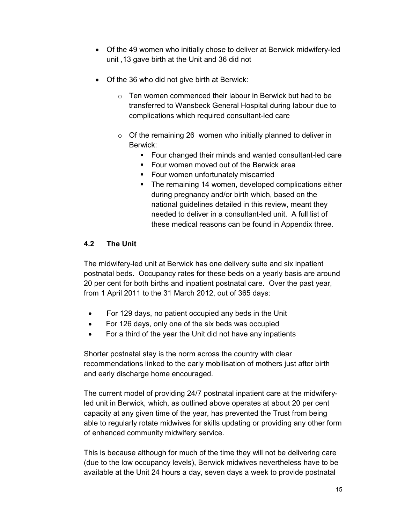- Of the 49 women who initially chose to deliver at Berwick midwifery-led unit ,13 gave birth at the Unit and 36 did not
- Of the 36 who did not give birth at Berwick:
	- $\circ$  Ten women commenced their labour in Berwick but had to be transferred to Wansbeck General Hospital during labour due to complications which required consultant-led care
	- $\circ$  Of the remaining 26 women who initially planned to deliver in Berwick:
		- Four changed their minds and wanted consultant-led care
		- **Four women moved out of the Berwick area**
		- **Four women unfortunately miscarried**
		- **The remaining 14 women, developed complications either** during pregnancy and/or birth which, based on the national guidelines detailed in this review, meant they needed to deliver in a consultant-led unit. A full list of these medical reasons can be found in Appendix three.

# **4.2 The Unit**

The midwifery-led unit at Berwick has one delivery suite and six inpatient postnatal beds. Occupancy rates for these beds on a yearly basis are around 20 per cent for both births and inpatient postnatal care. Over the past year, from 1 April 2011 to the 31 March 2012, out of 365 days:

- For 129 days, no patient occupied any beds in the Unit
- For 126 days, only one of the six beds was occupied
- For a third of the year the Unit did not have any inpatients

Shorter postnatal stay is the norm across the country with clear recommendations linked to the early mobilisation of mothers just after birth and early discharge home encouraged.

The current model of providing 24/7 postnatal inpatient care at the midwiferyled unit in Berwick, which, as outlined above operates at about 20 per cent capacity at any given time of the year, has prevented the Trust from being able to regularly rotate midwives for skills updating or providing any other form of enhanced community midwifery service.

This is because although for much of the time they will not be delivering care (due to the low occupancy levels), Berwick midwives nevertheless have to be available at the Unit 24 hours a day, seven days a week to provide postnatal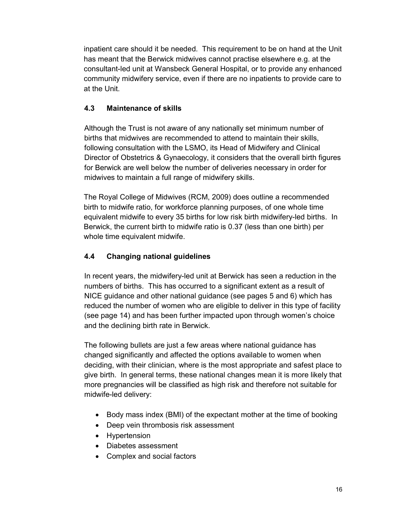inpatient care should it be needed. This requirement to be on hand at the Unit has meant that the Berwick midwives cannot practise elsewhere e.g. at the consultant-led unit at Wansbeck General Hospital, or to provide any enhanced community midwifery service, even if there are no inpatients to provide care to at the Unit.

# **4.3 Maintenance of skills**

Although the Trust is not aware of any nationally set minimum number of births that midwives are recommended to attend to maintain their skills, following consultation with the LSMO, its Head of Midwifery and Clinical Director of Obstetrics & Gynaecology, it considers that the overall birth figures for Berwick are well below the number of deliveries necessary in order for midwives to maintain a full range of midwifery skills.

The Royal College of Midwives (RCM, 2009) does outline a recommended birth to midwife ratio, for workforce planning purposes, of one whole time equivalent midwife to every 35 births for low risk birth midwifery-led births. In Berwick, the current birth to midwife ratio is 0.37 (less than one birth) per whole time equivalent midwife.

# **4.4 Changing national guidelines**

In recent years, the midwifery-led unit at Berwick has seen a reduction in the numbers of births. This has occurred to a significant extent as a result of NICE guidance and other national guidance (see pages 5 and 6) which has reduced the number of women who are eligible to deliver in this type of facility (see page 14) and has been further impacted upon through women's choice and the declining birth rate in Berwick.

The following bullets are just a few areas where national guidance has changed significantly and affected the options available to women when deciding, with their clinician, where is the most appropriate and safest place to give birth. In general terms, these national changes mean it is more likely that more pregnancies will be classified as high risk and therefore not suitable for midwife-led delivery:

- Body mass index (BMI) of the expectant mother at the time of booking
- Deep vein thrombosis risk assessment
- Hypertension
- Diabetes assessment
- Complex and social factors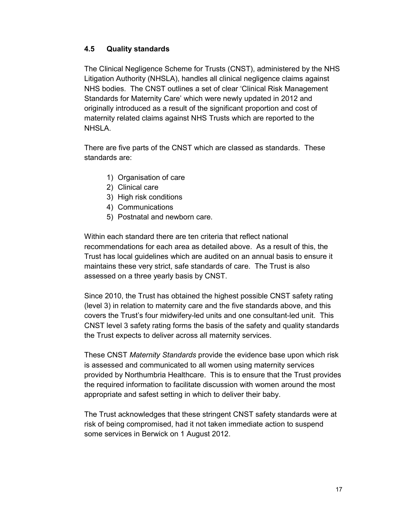## **4.5 Quality standards**

The Clinical Negligence Scheme for Trusts (CNST), administered by the NHS Litigation Authority (NHSLA), handles all clinical negligence claims against NHS bodies. The CNST outlines a set of clear 'Clinical Risk Management Standards for Maternity Care' which were newly updated in 2012 and originally introduced as a result of the significant proportion and cost of maternity related claims against NHS Trusts which are reported to the NHSLA.

There are five parts of the CNST which are classed as standards. These standards are:

- 1) Organisation of care
- 2) Clinical care
- 3) High risk conditions
- 4) Communications
- 5) Postnatal and newborn care.

Within each standard there are ten criteria that reflect national recommendations for each area as detailed above. As a result of this, the Trust has local guidelines which are audited on an annual basis to ensure it maintains these very strict, safe standards of care. The Trust is also assessed on a three yearly basis by CNST.

Since 2010, the Trust has obtained the highest possible CNST safety rating (level 3) in relation to maternity care and the five standards above, and this covers the Trust's four midwifery-led units and one consultant-led unit. This CNST level 3 safety rating forms the basis of the safety and quality standards the Trust expects to deliver across all maternity services.

These CNST *Maternity Standards* provide the evidence base upon which risk is assessed and communicated to all women using maternity services provided by Northumbria Healthcare. This is to ensure that the Trust provides the required information to facilitate discussion with women around the most appropriate and safest setting in which to deliver their baby.

The Trust acknowledges that these stringent CNST safety standards were at risk of being compromised, had it not taken immediate action to suspend some services in Berwick on 1 August 2012.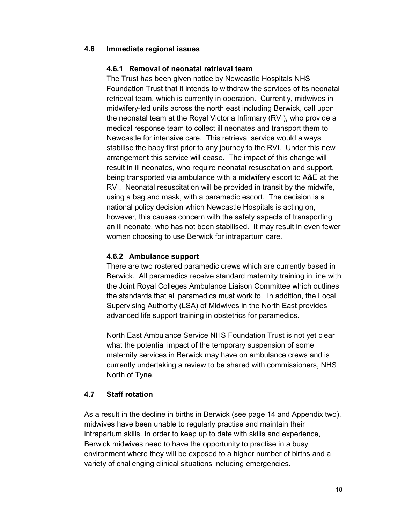#### **4.6 Immediate regional issues**

#### **4.6.1 Removal of neonatal retrieval team**

The Trust has been given notice by Newcastle Hospitals NHS Foundation Trust that it intends to withdraw the services of its neonatal retrieval team, which is currently in operation. Currently, midwives in midwifery-led units across the north east including Berwick, call upon the neonatal team at the Royal Victoria Infirmary (RVI), who provide a medical response team to collect ill neonates and transport them to Newcastle for intensive care. This retrieval service would always stabilise the baby first prior to any journey to the RVI. Under this new arrangement this service will cease. The impact of this change will result in ill neonates, who require neonatal resuscitation and support, being transported via ambulance with a midwifery escort to A&E at the RVI. Neonatal resuscitation will be provided in transit by the midwife, using a bag and mask, with a paramedic escort. The decision is a national policy decision which Newcastle Hospitals is acting on, however, this causes concern with the safety aspects of transporting an ill neonate, who has not been stabilised. It may result in even fewer women choosing to use Berwick for intrapartum care.

#### **4.6.2 Ambulance support**

There are two rostered paramedic crews which are currently based in Berwick. All paramedics receive standard maternity training in line with the Joint Royal Colleges Ambulance Liaison Committee which outlines the standards that all paramedics must work to. In addition, the Local Supervising Authority (LSA) of Midwives in the North East provides advanced life support training in obstetrics for paramedics.

North East Ambulance Service NHS Foundation Trust is not yet clear what the potential impact of the temporary suspension of some maternity services in Berwick may have on ambulance crews and is currently undertaking a review to be shared with commissioners, NHS North of Tyne.

#### **4.7 Staff rotation**

As a result in the decline in births in Berwick (see page 14 and Appendix two), midwives have been unable to regularly practise and maintain their intrapartum skills. In order to keep up to date with skills and experience, Berwick midwives need to have the opportunity to practise in a busy environment where they will be exposed to a higher number of births and a variety of challenging clinical situations including emergencies.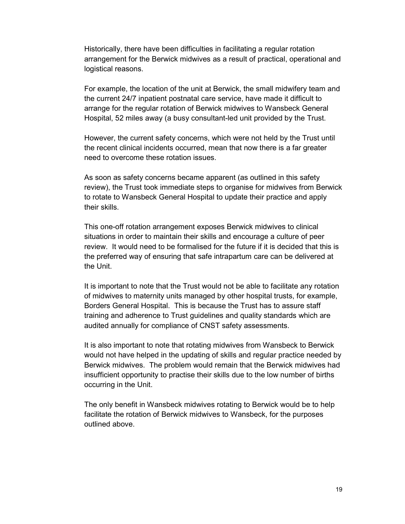Historically, there have been difficulties in facilitating a regular rotation arrangement for the Berwick midwives as a result of practical, operational and logistical reasons.

For example, the location of the unit at Berwick, the small midwifery team and the current 24/7 inpatient postnatal care service, have made it difficult to arrange for the regular rotation of Berwick midwives to Wansbeck General Hospital, 52 miles away (a busy consultant-led unit provided by the Trust.

However, the current safety concerns, which were not held by the Trust until the recent clinical incidents occurred, mean that now there is a far greater need to overcome these rotation issues.

As soon as safety concerns became apparent (as outlined in this safety review), the Trust took immediate steps to organise for midwives from Berwick to rotate to Wansbeck General Hospital to update their practice and apply their skills.

This one-off rotation arrangement exposes Berwick midwives to clinical situations in order to maintain their skills and encourage a culture of peer review. It would need to be formalised for the future if it is decided that this is the preferred way of ensuring that safe intrapartum care can be delivered at the Unit.

It is important to note that the Trust would not be able to facilitate any rotation of midwives to maternity units managed by other hospital trusts, for example, Borders General Hospital. This is because the Trust has to assure staff training and adherence to Trust guidelines and quality standards which are audited annually for compliance of CNST safety assessments.

It is also important to note that rotating midwives from Wansbeck to Berwick would not have helped in the updating of skills and regular practice needed by Berwick midwives. The problem would remain that the Berwick midwives had insufficient opportunity to practise their skills due to the low number of births occurring in the Unit.

The only benefit in Wansbeck midwives rotating to Berwick would be to help facilitate the rotation of Berwick midwives to Wansbeck, for the purposes outlined above.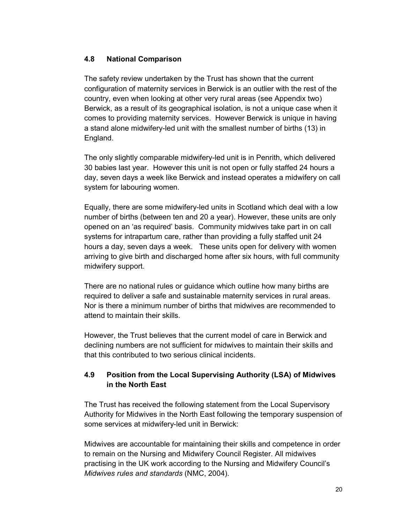## **4.8 National Comparison**

The safety review undertaken by the Trust has shown that the current configuration of maternity services in Berwick is an outlier with the rest of the country, even when looking at other very rural areas (see Appendix two) Berwick, as a result of its geographical isolation, is not a unique case when it comes to providing maternity services. However Berwick is unique in having a stand alone midwifery-led unit with the smallest number of births (13) in England.

The only slightly comparable midwifery-led unit is in Penrith, which delivered 30 babies last year. However this unit is not open or fully staffed 24 hours a day, seven days a week like Berwick and instead operates a midwifery on call system for labouring women.

Equally, there are some midwifery-led units in Scotland which deal with a low number of births (between ten and 20 a year). However, these units are only opened on an 'as required' basis. Community midwives take part in on call systems for intrapartum care, rather than providing a fully staffed unit 24 hours a day, seven days a week. These units open for delivery with women arriving to give birth and discharged home after six hours, with full community midwifery support.

There are no national rules or guidance which outline how many births are required to deliver a safe and sustainable maternity services in rural areas. Nor is there a minimum number of births that midwives are recommended to attend to maintain their skills.

However, the Trust believes that the current model of care in Berwick and declining numbers are not sufficient for midwives to maintain their skills and that this contributed to two serious clinical incidents.

# **4.9 Position from the Local Supervising Authority (LSA) of Midwives in the North East**

The Trust has received the following statement from the Local Supervisory Authority for Midwives in the North East following the temporary suspension of some services at midwifery-led unit in Berwick:

Midwives are accountable for maintaining their skills and competence in order to remain on the Nursing and Midwifery Council Register. All midwives practising in the UK work according to the Nursing and Midwifery Council's *Midwives rules and standards* (NMC, 2004).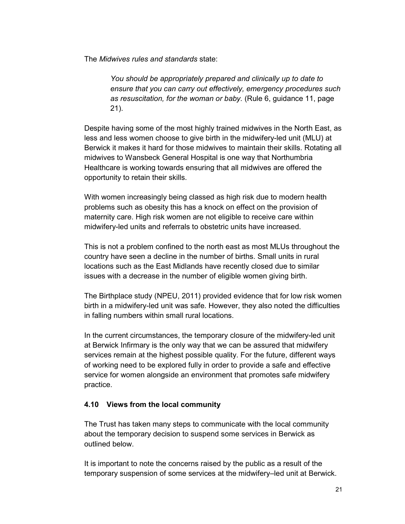The *Midwives rules and standards* state:

*You should be appropriately prepared and clinically up to date to ensure that you can carry out effectively, emergency procedures such as resuscitation, for the woman or baby.* (Rule 6, guidance 11, page 21).

Despite having some of the most highly trained midwives in the North East, as less and less women choose to give birth in the midwifery-led unit (MLU) at Berwick it makes it hard for those midwives to maintain their skills. Rotating all midwives to Wansbeck General Hospital is one way that Northumbria Healthcare is working towards ensuring that all midwives are offered the opportunity to retain their skills.

With women increasingly being classed as high risk due to modern health problems such as obesity this has a knock on effect on the provision of maternity care. High risk women are not eligible to receive care within midwifery-led units and referrals to obstetric units have increased.

This is not a problem confined to the north east as most MLUs throughout the country have seen a decline in the number of births. Small units in rural locations such as the East Midlands have recently closed due to similar issues with a decrease in the number of eligible women giving birth.

The Birthplace study (NPEU, 2011) provided evidence that for low risk women birth in a midwifery-led unit was safe. However, they also noted the difficulties in falling numbers within small rural locations.

In the current circumstances, the temporary closure of the midwifery-led unit at Berwick Infirmary is the only way that we can be assured that midwifery services remain at the highest possible quality. For the future, different ways of working need to be explored fully in order to provide a safe and effective service for women alongside an environment that promotes safe midwifery practice.

## **4.10 Views from the local community**

The Trust has taken many steps to communicate with the local community about the temporary decision to suspend some services in Berwick as outlined below.

It is important to note the concerns raised by the public as a result of the temporary suspension of some services at the midwifery–led unit at Berwick.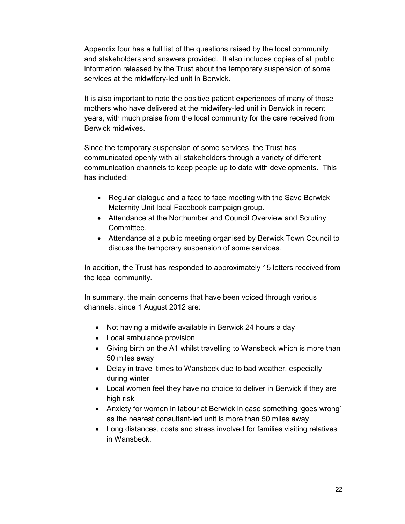Appendix four has a full list of the questions raised by the local community and stakeholders and answers provided. It also includes copies of all public information released by the Trust about the temporary suspension of some services at the midwifery-led unit in Berwick.

It is also important to note the positive patient experiences of many of those mothers who have delivered at the midwifery-led unit in Berwick in recent years, with much praise from the local community for the care received from Berwick midwives.

Since the temporary suspension of some services, the Trust has communicated openly with all stakeholders through a variety of different communication channels to keep people up to date with developments. This has included:

- Regular dialogue and a face to face meeting with the Save Berwick Maternity Unit local Facebook campaign group.
- Attendance at the Northumberland Council Overview and Scrutiny **Committee.**
- Attendance at a public meeting organised by Berwick Town Council to discuss the temporary suspension of some services.

In addition, the Trust has responded to approximately 15 letters received from the local community.

In summary, the main concerns that have been voiced through various channels, since 1 August 2012 are:

- Not having a midwife available in Berwick 24 hours a day
- Local ambulance provision
- Giving birth on the A1 whilst travelling to Wansbeck which is more than 50 miles away
- Delay in travel times to Wansbeck due to bad weather, especially during winter
- Local women feel they have no choice to deliver in Berwick if they are high risk
- Anxiety for women in labour at Berwick in case something 'goes wrong' as the nearest consultant-led unit is more than 50 miles away
- Long distances, costs and stress involved for families visiting relatives in Wansbeck.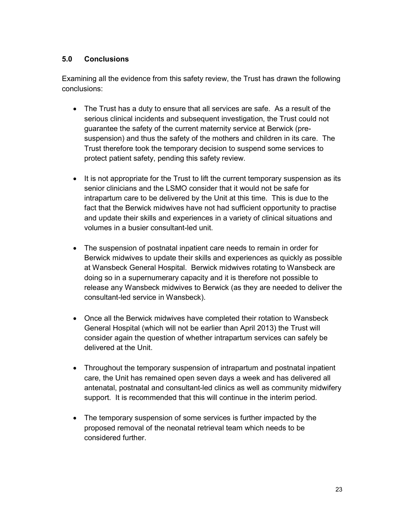## **5.0 Conclusions**

Examining all the evidence from this safety review, the Trust has drawn the following conclusions:

- The Trust has a duty to ensure that all services are safe. As a result of the serious clinical incidents and subsequent investigation, the Trust could not guarantee the safety of the current maternity service at Berwick (presuspension) and thus the safety of the mothers and children in its care. The Trust therefore took the temporary decision to suspend some services to protect patient safety, pending this safety review.
- It is not appropriate for the Trust to lift the current temporary suspension as its senior clinicians and the LSMO consider that it would not be safe for intrapartum care to be delivered by the Unit at this time. This is due to the fact that the Berwick midwives have not had sufficient opportunity to practise and update their skills and experiences in a variety of clinical situations and volumes in a busier consultant-led unit.
- The suspension of postnatal inpatient care needs to remain in order for Berwick midwives to update their skills and experiences as quickly as possible at Wansbeck General Hospital. Berwick midwives rotating to Wansbeck are doing so in a supernumerary capacity and it is therefore not possible to release any Wansbeck midwives to Berwick (as they are needed to deliver the consultant-led service in Wansbeck).
- Once all the Berwick midwives have completed their rotation to Wansbeck General Hospital (which will not be earlier than April 2013) the Trust will consider again the question of whether intrapartum services can safely be delivered at the Unit.
- Throughout the temporary suspension of intrapartum and postnatal inpatient care, the Unit has remained open seven days a week and has delivered all antenatal, postnatal and consultant-led clinics as well as community midwifery support. It is recommended that this will continue in the interim period.
- The temporary suspension of some services is further impacted by the proposed removal of the neonatal retrieval team which needs to be considered further.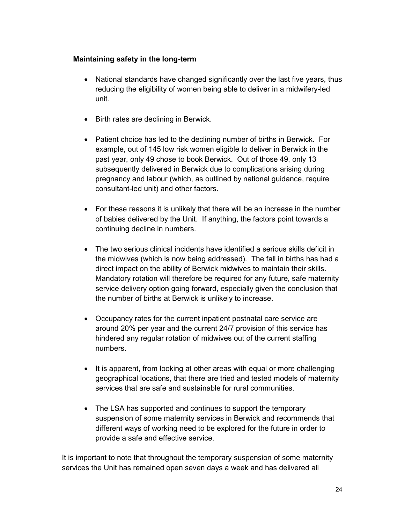#### **Maintaining safety in the long-term**

- National standards have changed significantly over the last five years, thus reducing the eligibility of women being able to deliver in a midwifery-led unit.
- Birth rates are declining in Berwick.
- Patient choice has led to the declining number of births in Berwick. For example, out of 145 low risk women eligible to deliver in Berwick in the past year, only 49 chose to book Berwick. Out of those 49, only 13 subsequently delivered in Berwick due to complications arising during pregnancy and labour (which, as outlined by national guidance, require consultant-led unit) and other factors.
- For these reasons it is unlikely that there will be an increase in the number of babies delivered by the Unit. If anything, the factors point towards a continuing decline in numbers.
- The two serious clinical incidents have identified a serious skills deficit in the midwives (which is now being addressed). The fall in births has had a direct impact on the ability of Berwick midwives to maintain their skills. Mandatory rotation will therefore be required for any future, safe maternity service delivery option going forward, especially given the conclusion that the number of births at Berwick is unlikely to increase.
- Occupancy rates for the current inpatient postnatal care service are around 20% per year and the current 24/7 provision of this service has hindered any regular rotation of midwives out of the current staffing numbers.
- It is apparent, from looking at other areas with equal or more challenging geographical locations, that there are tried and tested models of maternity services that are safe and sustainable for rural communities.
- The LSA has supported and continues to support the temporary suspension of some maternity services in Berwick and recommends that different ways of working need to be explored for the future in order to provide a safe and effective service.

It is important to note that throughout the temporary suspension of some maternity services the Unit has remained open seven days a week and has delivered all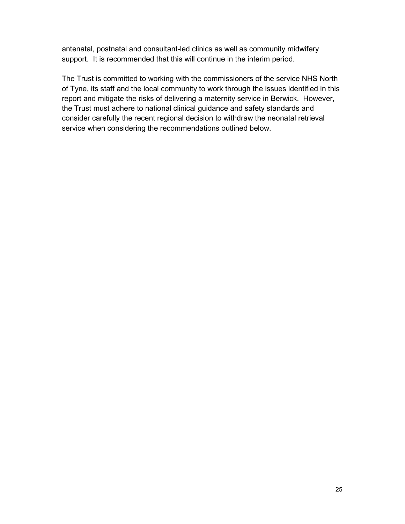antenatal, postnatal and consultant-led clinics as well as community midwifery support. It is recommended that this will continue in the interim period.

The Trust is committed to working with the commissioners of the service NHS North of Tyne, its staff and the local community to work through the issues identified in this report and mitigate the risks of delivering a maternity service in Berwick. However, the Trust must adhere to national clinical guidance and safety standards and consider carefully the recent regional decision to withdraw the neonatal retrieval service when considering the recommendations outlined below.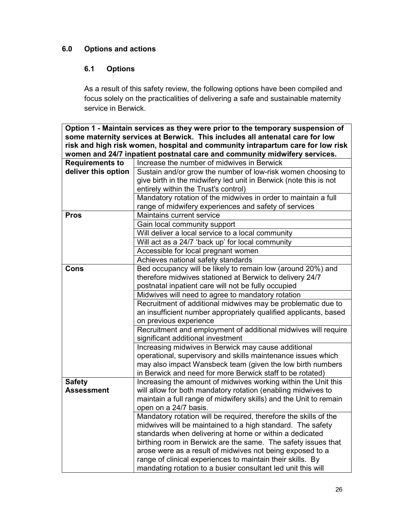# **6.0 Options and actions**

# **6.1 Options**

As a result of this safety review, the following options have been compiled and focus solely on the practicalities of delivering a safe and sustainable maternity service in Berwick.

**Option 1 - Maintain services as they were prior to the temporary suspension of some maternity services at Berwick. This includes all antenatal care for low risk and high risk women, hospital and community intrapartum care for low risk women and 24/7 inpatient postnatal care and community midwifery services.** 

| <b>Requirements to</b> | Increase the number of midwives in Berwick                        |
|------------------------|-------------------------------------------------------------------|
| deliver this option    | Sustain and/or grow the number of low-risk women choosing to      |
|                        | give birth in the midwifery led unit in Berwick (note this is not |
|                        | entirely within the Trust's control)                              |
|                        | Mandatory rotation of the midwives in order to maintain a full    |
|                        | range of midwifery experiences and safety of services             |
| <b>Pros</b>            | Maintains current service                                         |
|                        | Gain local community support                                      |
|                        | Will deliver a local service to a local community                 |
|                        | Will act as a 24/7 'back up' for local community                  |
|                        | Accessible for local pregnant women                               |
|                        | Achieves national safety standards                                |
| Cons                   | Bed occupancy will be likely to remain low (around 20%) and       |
|                        | therefore midwives stationed at Berwick to delivery 24/7          |
|                        | postnatal inpatient care will not be fully occupied               |
|                        | Midwives will need to agree to mandatory rotation                 |
|                        | Recruitment of additional midwives may be problematic due to      |
|                        | an insufficient number appropriately qualified applicants, based  |
|                        | on previous experience                                            |
|                        | Recruitment and employment of additional midwives will require    |
|                        | significant additional investment                                 |
|                        | Increasing midwives in Berwick may cause additional               |
|                        | operational, supervisory and skills maintenance issues which      |
|                        | may also impact Wansbeck team (given the low birth numbers        |
|                        | in Berwick and need for more Berwick staff to be rotated)         |
| <b>Safety</b>          | Increasing the amount of midwives working within the Unit this    |
| <b>Assessment</b>      | will allow for both mandatory rotation (enabling midwives to      |
|                        | maintain a full range of midwifery skills) and the Unit to remain |
|                        | open on a 24/7 basis.                                             |
|                        | Mandatory rotation will be required, therefore the skills of the  |
|                        | midwives will be maintained to a high standard. The safety        |
|                        | standards when delivering at home or within a dedicated           |
|                        | birthing room in Berwick are the same. The safety issues that     |
|                        | arose were as a result of midwives not being exposed to a         |
|                        | range of clinical experiences to maintain their skills. By        |
|                        | mandating rotation to a busier consultant led unit this will      |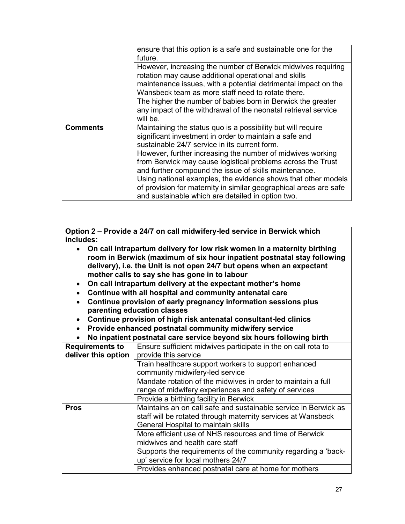|                 | ensure that this option is a safe and sustainable one for the<br>future.                                                                                                                                                                                                                                                                                                                                                                                                                                                                                 |
|-----------------|----------------------------------------------------------------------------------------------------------------------------------------------------------------------------------------------------------------------------------------------------------------------------------------------------------------------------------------------------------------------------------------------------------------------------------------------------------------------------------------------------------------------------------------------------------|
|                 | However, increasing the number of Berwick midwives requiring<br>rotation may cause additional operational and skills<br>maintenance issues, with a potential detrimental impact on the<br>Wansbeck team as more staff need to rotate there.                                                                                                                                                                                                                                                                                                              |
|                 | The higher the number of babies born in Berwick the greater<br>any impact of the withdrawal of the neonatal retrieval service<br>will be.                                                                                                                                                                                                                                                                                                                                                                                                                |
| <b>Comments</b> | Maintaining the status quo is a possibility but will require<br>significant investment in order to maintain a safe and<br>sustainable 24/7 service in its current form.<br>However, further increasing the number of midwives working<br>from Berwick may cause logistical problems across the Trust<br>and further compound the issue of skills maintenance.<br>Using national examples, the evidence shows that other models<br>of provision for maternity in similar geographical areas are safe<br>and sustainable which are detailed in option two. |

**Option 2 – Provide a 24/7 on call midwifery-led service in Berwick which includes:** 

- **On call intrapartum delivery for low risk women in a maternity birthing room in Berwick (maximum of six hour inpatient postnatal stay following delivery), i.e. the Unit is not open 24/7 but opens when an expectant mother calls to say she has gone in to labour**
- **On call intrapartum delivery at the expectant mother's home**
- **Continue with all hospital and community antenatal care**
- **Continue provision of early pregnancy information sessions plus parenting education classes**
- **Continue provision of high risk antenatal consultant-led clinics**
- **Provide enhanced postnatal community midwifery service**
- **No inpatient postnatal care service beyond six hours following birth**

| <b>Requirements to</b> | Ensure sufficient midwives participate in the on call rota to   |
|------------------------|-----------------------------------------------------------------|
| deliver this option    | provide this service                                            |
|                        | Train healthcare support workers to support enhanced            |
|                        | community midwifery-led service                                 |
|                        | Mandate rotation of the midwives in order to maintain a full    |
|                        | range of midwifery experiences and safety of services           |
|                        | Provide a birthing facility in Berwick                          |
| <b>Pros</b>            | Maintains an on call safe and sustainable service in Berwick as |
|                        | staff will be rotated through maternity services at Wansbeck    |
|                        | General Hospital to maintain skills                             |
|                        | More efficient use of NHS resources and time of Berwick         |
|                        | midwives and health care staff                                  |
|                        | Supports the requirements of the community regarding a 'back-   |
|                        | up' service for local mothers 24/7                              |
|                        | Provides enhanced postnatal care at home for mothers            |
|                        |                                                                 |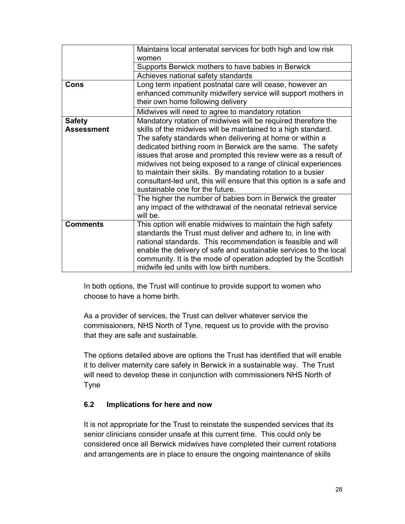|                   | Maintains local antenatal services for both high and low risk        |
|-------------------|----------------------------------------------------------------------|
|                   | women                                                                |
|                   | Supports Berwick mothers to have babies in Berwick                   |
|                   | Achieves national safety standards                                   |
| Cons              | Long term inpatient postnatal care will cease, however an            |
|                   | enhanced community midwifery service will support mothers in         |
|                   | their own home following delivery                                    |
|                   | Midwives will need to agree to mandatory rotation                    |
| <b>Safety</b>     | Mandatory rotation of midwives will be required therefore the        |
| <b>Assessment</b> | skills of the midwives will be maintained to a high standard.        |
|                   | The safety standards when delivering at home or within a             |
|                   | dedicated birthing room in Berwick are the same. The safety          |
|                   | issues that arose and prompted this review were as a result of       |
|                   | midwives not being exposed to a range of clinical experiences        |
|                   | to maintain their skills. By mandating rotation to a busier          |
|                   | consultant-led unit, this will ensure that this option is a safe and |
|                   | sustainable one for the future.                                      |
|                   | The higher the number of babies born in Berwick the greater          |
|                   | any impact of the withdrawal of the neonatal retrieval service       |
|                   | will be.                                                             |
| <b>Comments</b>   | This option will enable midwives to maintain the high safety         |
|                   | standards the Trust must deliver and adhere to, in line with         |
|                   | national standards. This recommendation is feasible and will         |
|                   | enable the delivery of safe and sustainable services to the local    |
|                   | community. It is the mode of operation adopted by the Scottish       |
|                   | midwife led units with low birth numbers.                            |

In both options, the Trust will continue to provide support to women who choose to have a home birth.

As a provider of services, the Trust can deliver whatever service the commissioners, NHS North of Tyne, request us to provide with the proviso that they are safe and sustainable.

The options detailed above are options the Trust has identified that will enable it to deliver maternity care safely in Berwick in a sustainable way. The Trust will need to develop these in conjunction with commissioners NHS North of Tyne

## **6.2 Implications for here and now**

It is not appropriate for the Trust to reinstate the suspended services that its senior clinicians consider unsafe at this current time. This could only be considered once all Berwick midwives have completed their current rotations and arrangements are in place to ensure the ongoing maintenance of skills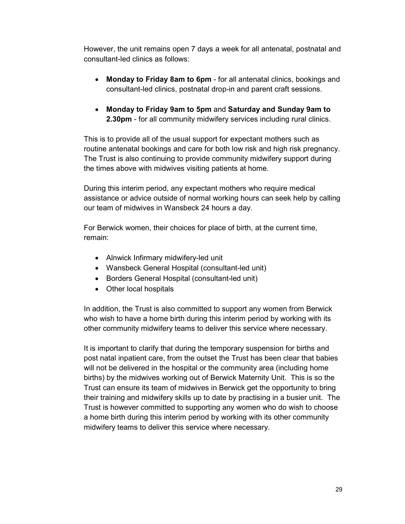However, the unit remains open 7 days a week for all antenatal, postnatal and consultant-led clinics as follows:

- **Monday to Friday 8am to 6pm** for all antenatal clinics, bookings and consultant-led clinics, postnatal drop-in and parent craft sessions.
- **Monday to Friday 9am to 5pm** and **Saturday and Sunday 9am to 2.30pm** - for all community midwifery services including rural clinics.

This is to provide all of the usual support for expectant mothers such as routine antenatal bookings and care for both low risk and high risk pregnancy. The Trust is also continuing to provide community midwifery support during the times above with midwives visiting patients at home.

During this interim period, any expectant mothers who require medical assistance or advice outside of normal working hours can seek help by calling our team of midwives in Wansbeck 24 hours a day.

For Berwick women, their choices for place of birth, at the current time, remain:

- Alnwick Infirmary midwifery-led unit
- Wansbeck General Hospital (consultant-led unit)
- Borders General Hospital (consultant-led unit)
- Other local hospitals

In addition, the Trust is also committed to support any women from Berwick who wish to have a home birth during this interim period by working with its other community midwifery teams to deliver this service where necessary.

It is important to clarify that during the temporary suspension for births and post natal inpatient care, from the outset the Trust has been clear that babies will not be delivered in the hospital or the community area (including home births) by the midwives working out of Berwick Maternity Unit. This is so the Trust can ensure its team of midwives in Berwick get the opportunity to bring their training and midwifery skills up to date by practising in a busier unit. The Trust is however committed to supporting any women who do wish to choose a home birth during this interim period by working with its other community midwifery teams to deliver this service where necessary.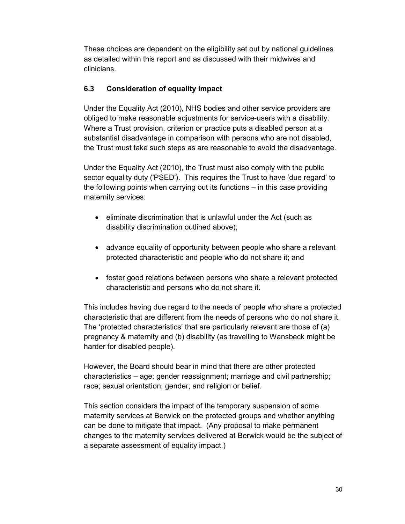These choices are dependent on the eligibility set out by national guidelines as detailed within this report and as discussed with their midwives and clinicians.

# **6.3 Consideration of equality impact**

Under the Equality Act (2010), NHS bodies and other service providers are obliged to make reasonable adjustments for service-users with a disability. Where a Trust provision, criterion or practice puts a disabled person at a substantial disadvantage in comparison with persons who are not disabled, the Trust must take such steps as are reasonable to avoid the disadvantage.

Under the Equality Act (2010), the Trust must also comply with the public sector equality duty ('PSED'). This requires the Trust to have 'due regard' to the following points when carrying out its functions – in this case providing maternity services:

- eliminate discrimination that is unlawful under the Act (such as disability discrimination outlined above);
- advance equality of opportunity between people who share a relevant protected characteristic and people who do not share it; and
- foster good relations between persons who share a relevant protected characteristic and persons who do not share it.

This includes having due regard to the needs of people who share a protected characteristic that are different from the needs of persons who do not share it. The 'protected characteristics' that are particularly relevant are those of (a) pregnancy & maternity and (b) disability (as travelling to Wansbeck might be harder for disabled people).

However, the Board should bear in mind that there are other protected characteristics – age; gender reassignment; marriage and civil partnership; race; sexual orientation; gender; and religion or belief.

This section considers the impact of the temporary suspension of some maternity services at Berwick on the protected groups and whether anything can be done to mitigate that impact. (Any proposal to make permanent changes to the maternity services delivered at Berwick would be the subject of a separate assessment of equality impact.)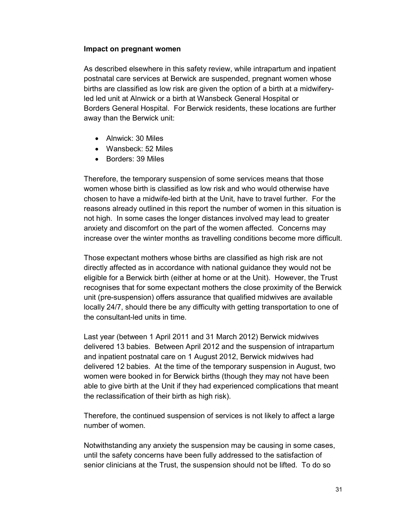#### **Impact on pregnant women**

As described elsewhere in this safety review, while intrapartum and inpatient postnatal care services at Berwick are suspended, pregnant women whose births are classified as low risk are given the option of a birth at a midwiferyled led unit at Alnwick or a birth at Wansbeck General Hospital or Borders General Hospital. For Berwick residents, these locations are further away than the Berwick unit:

- Alnwick: 30 Miles
- Wansbeck: 52 Miles
- Borders: 39 Miles

Therefore, the temporary suspension of some services means that those women whose birth is classified as low risk and who would otherwise have chosen to have a midwife-led birth at the Unit, have to travel further. For the reasons already outlined in this report the number of women in this situation is not high. In some cases the longer distances involved may lead to greater anxiety and discomfort on the part of the women affected. Concerns may increase over the winter months as travelling conditions become more difficult.

Those expectant mothers whose births are classified as high risk are not directly affected as in accordance with national guidance they would not be eligible for a Berwick birth (either at home or at the Unit). However, the Trust recognises that for some expectant mothers the close proximity of the Berwick unit (pre-suspension) offers assurance that qualified midwives are available locally 24/7, should there be any difficulty with getting transportation to one of the consultant-led units in time.

Last year (between 1 April 2011 and 31 March 2012) Berwick midwives delivered 13 babies. Between April 2012 and the suspension of intrapartum and inpatient postnatal care on 1 August 2012, Berwick midwives had delivered 12 babies. At the time of the temporary suspension in August, two women were booked in for Berwick births (though they may not have been able to give birth at the Unit if they had experienced complications that meant the reclassification of their birth as high risk).

Therefore, the continued suspension of services is not likely to affect a large number of women.

Notwithstanding any anxiety the suspension may be causing in some cases, until the safety concerns have been fully addressed to the satisfaction of senior clinicians at the Trust, the suspension should not be lifted. To do so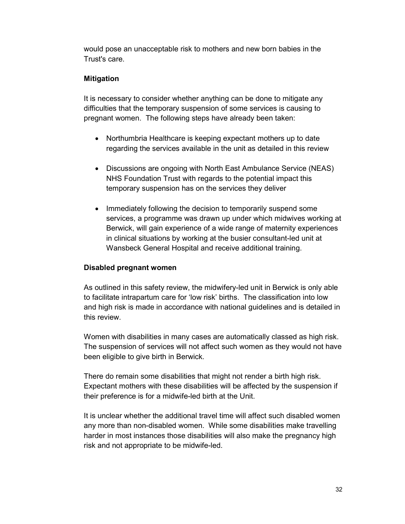would pose an unacceptable risk to mothers and new born babies in the Trust's care.

## **Mitigation**

It is necessary to consider whether anything can be done to mitigate any difficulties that the temporary suspension of some services is causing to pregnant women.The following steps have already been taken:

- Northumbria Healthcare is keeping expectant mothers up to date regarding the services available in the unit as detailed in this review
- Discussions are ongoing with North East Ambulance Service (NEAS) NHS Foundation Trust with regards to the potential impact this temporary suspension has on the services they deliver
- Immediately following the decision to temporarily suspend some services, a programme was drawn up under which midwives working at Berwick, will gain experience of a wide range of maternity experiences in clinical situations by working at the busier consultant-led unit at Wansbeck General Hospital and receive additional training.

## **Disabled pregnant women**

As outlined in this safety review, the midwifery-led unit in Berwick is only able to facilitate intrapartum care for 'low risk' births. The classification into low and high risk is made in accordance with national guidelines and is detailed in this review.

Women with disabilities in many cases are automatically classed as high risk. The suspension of services will not affect such women as they would not have been eligible to give birth in Berwick.

There do remain some disabilities that might not render a birth high risk. Expectant mothers with these disabilities will be affected by the suspension if their preference is for a midwife-led birth at the Unit.

It is unclear whether the additional travel time will affect such disabled women any more than non-disabled women. While some disabilities make travelling harder in most instances those disabilities will also make the pregnancy high risk and not appropriate to be midwife-led.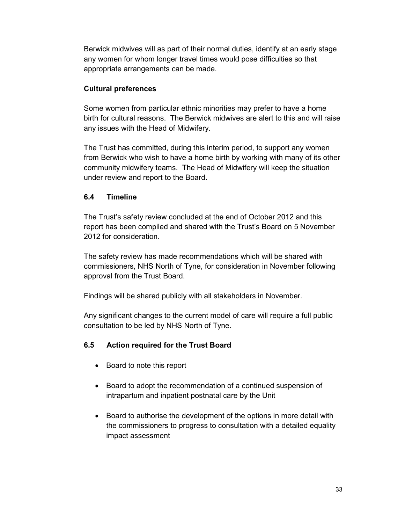Berwick midwives will as part of their normal duties, identify at an early stage any women for whom longer travel times would pose difficulties so that appropriate arrangements can be made.

## **Cultural preferences**

Some women from particular ethnic minorities may prefer to have a home birth for cultural reasons. The Berwick midwives are alert to this and will raise any issues with the Head of Midwifery.

The Trust has committed, during this interim period, to support any women from Berwick who wish to have a home birth by working with many of its other community midwifery teams.The Head of Midwifery will keep the situation under review and report to the Board.

# **6.4 Timeline**

The Trust's safety review concluded at the end of October 2012 and this report has been compiled and shared with the Trust's Board on 5 November 2012 for consideration.

The safety review has made recommendations which will be shared with commissioners, NHS North of Tyne, for consideration in November following approval from the Trust Board.

Findings will be shared publicly with all stakeholders in November.

Any significant changes to the current model of care will require a full public consultation to be led by NHS North of Tyne.

# **6.5 Action required for the Trust Board**

- Board to note this report
- Board to adopt the recommendation of a continued suspension of intrapartum and inpatient postnatal care by the Unit
- Board to authorise the development of the options in more detail with the commissioners to progress to consultation with a detailed equality impact assessment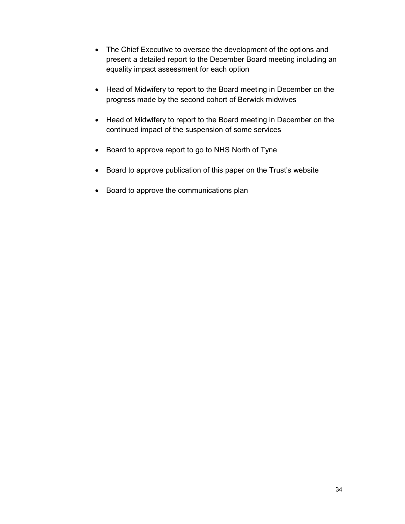- The Chief Executive to oversee the development of the options and present a detailed report to the December Board meeting including an equality impact assessment for each option
- Head of Midwifery to report to the Board meeting in December on the progress made by the second cohort of Berwick midwives
- Head of Midwifery to report to the Board meeting in December on the continued impact of the suspension of some services
- Board to approve report to go to NHS North of Tyne
- Board to approve publication of this paper on the Trust's website
- Board to approve the communications plan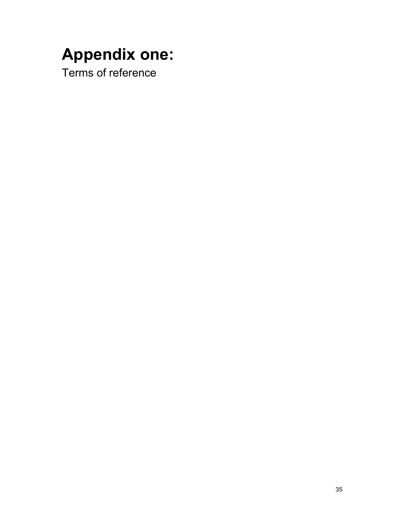# **Appendix one:**

Terms of reference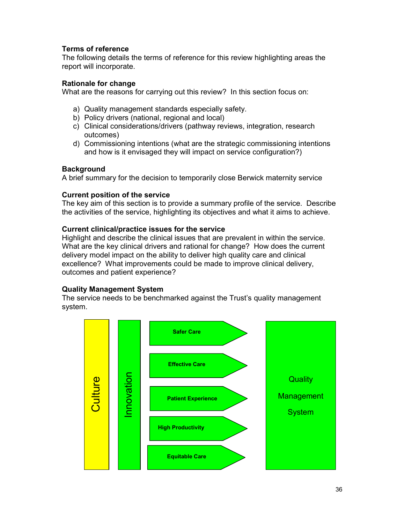## **Terms of reference**

The following details the terms of reference for this review highlighting areas the report will incorporate.

#### **Rationale for change**

What are the reasons for carrying out this review? In this section focus on:

- a) Quality management standards especially safety.
- b) Policy drivers (national, regional and local)
- c) Clinical considerations/drivers (pathway reviews, integration, research outcomes)
- d) Commissioning intentions (what are the strategic commissioning intentions and how is it envisaged they will impact on service configuration?)

#### **Background**

A brief summary for the decision to temporarily close Berwick maternity service

#### **Current position of the service**

The key aim of this section is to provide a summary profile of the service. Describe the activities of the service, highlighting its objectives and what it aims to achieve.

#### **Current clinical/practice issues for the service**

Highlight and describe the clinical issues that are prevalent in within the service. What are the key clinical drivers and rational for change? How does the current delivery model impact on the ability to deliver high quality care and clinical excellence? What improvements could be made to improve clinical delivery, outcomes and patient experience?

#### **Quality Management System**

The service needs to be benchmarked against the Trust's quality management system.

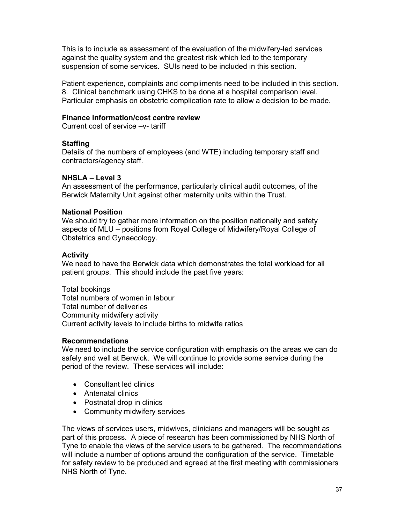This is to include as assessment of the evaluation of the midwifery-led services against the quality system and the greatest risk which led to the temporary suspension of some services. SUIs need to be included in this section.

Patient experience, complaints and compliments need to be included in this section. 8. Clinical benchmark using CHKS to be done at a hospital comparison level. Particular emphasis on obstetric complication rate to allow a decision to be made.

# **Finance information/cost centre review**

Current cost of service –v- tariff

## **Staffing**

Details of the numbers of employees (and WTE) including temporary staff and contractors/agency staff.

## **NHSLA – Level 3**

An assessment of the performance, particularly clinical audit outcomes, of the Berwick Maternity Unit against other maternity units within the Trust.

## **National Position**

We should try to gather more information on the position nationally and safety aspects of MLU – positions from Royal College of Midwifery/Royal College of Obstetrics and Gynaecology.

## **Activity**

We need to have the Berwick data which demonstrates the total workload for all patient groups. This should include the past five years:

Total bookings Total numbers of women in labour Total number of deliveries Community midwifery activity Current activity levels to include births to midwife ratios

#### **Recommendations**

We need to include the service configuration with emphasis on the areas we can do safely and well at Berwick. We will continue to provide some service during the period of the review. These services will include:

- Consultant led clinics
- Antenatal clinics
- Postnatal drop in clinics
- Community midwifery services

The views of services users, midwives, clinicians and managers will be sought as part of this process. A piece of research has been commissioned by NHS North of Tyne to enable the views of the service users to be gathered. The recommendations will include a number of options around the configuration of the service. Timetable for safety review to be produced and agreed at the first meeting with commissioners NHS North of Tyne.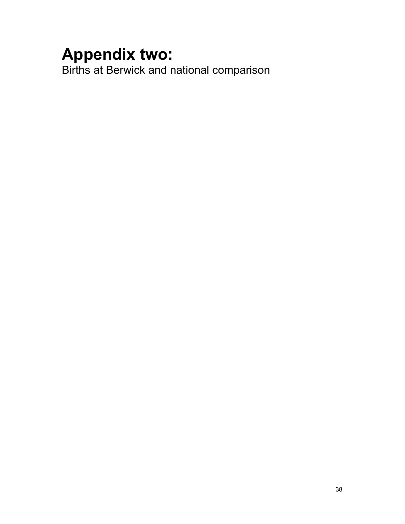# **Appendix two:**

Births at Berwick and national comparison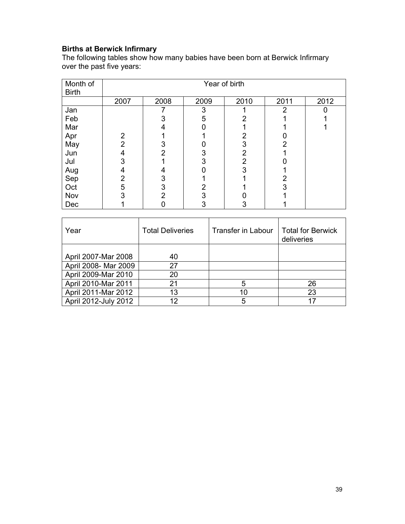# **Births at Berwick Infirmary**

The following tables show how many babies have been born at Berwick Infirmary over the past five years:

| Month of<br><b>Birth</b> | Year of birth  |      |      |                |               |      |  |
|--------------------------|----------------|------|------|----------------|---------------|------|--|
|                          | 2007           | 2008 | 2009 | 2010           | 2011          | 2012 |  |
| Jan                      |                |      | 3    |                | $\mathcal{P}$ |      |  |
| Feb                      |                |      | 5    |                |               |      |  |
| Mar                      |                |      |      |                |               |      |  |
| Apr                      | $\overline{2}$ |      |      | 2              |               |      |  |
| May                      | $\overline{2}$ |      |      | 3              | 2             |      |  |
| Jun                      | 4              | 2    |      | 2              |               |      |  |
| Jul                      | 3              |      |      | $\overline{2}$ |               |      |  |
| Aug                      | 4              |      |      | 3              |               |      |  |
| Sep                      | $\overline{2}$ | 3    |      |                | 2             |      |  |
| Oct                      | 5              | 3    |      |                | 3             |      |  |
| Nov                      | 3              | 2    |      |                |               |      |  |
| Dec                      |                |      |      | J              |               |      |  |

| Year                 | <b>Total Deliveries</b> | <b>Transfer in Labour</b> | <b>Total for Berwick</b><br>deliveries |
|----------------------|-------------------------|---------------------------|----------------------------------------|
|                      |                         |                           |                                        |
| April 2007-Mar 2008  | 40                      |                           |                                        |
| April 2008- Mar 2009 | 27                      |                           |                                        |
| April 2009-Mar 2010  | 20                      |                           |                                        |
| April 2010-Mar 2011  | 21                      | 5                         | 26                                     |
| April 2011-Mar 2012  | 13                      | 10                        | 23                                     |
| April 2012-July 2012 | 12                      | 5                         | 17                                     |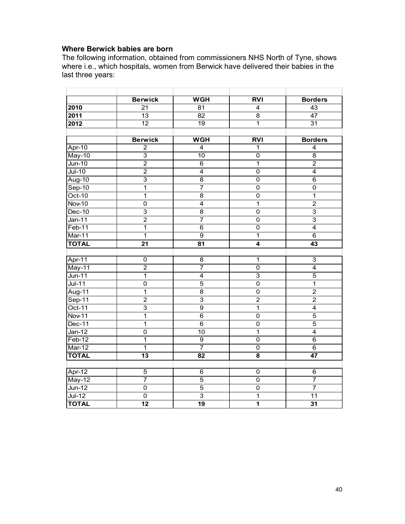# **Where Berwick babies are born**

The following information, obtained from commissioners NHS North of Tyne, shows where i.e., which hospitals, women from Berwick have delivered their babies in the last three years:

|               | <b>Berwick</b>  | <b>WGH</b>                | RVI                       | <b>Borders</b>            |
|---------------|-----------------|---------------------------|---------------------------|---------------------------|
| 2010          | 21              | 81                        | 4                         | 43                        |
| 2011          | $\overline{13}$ | $\overline{82}$           | $\overline{8}$            | $\overline{47}$           |
| 2012          | $\overline{12}$ | $\overline{19}$           | 1                         | $\overline{31}$           |
|               |                 |                           |                           |                           |
|               | <b>Berwick</b>  | <b>WGH</b>                | <b>RVI</b>                | <b>Borders</b>            |
| Apr-10        | $\overline{2}$  | $\overline{4}$            | 1                         | $\overline{\mathbf{4}}$   |
| May-10        | $\overline{3}$  | 10                        | $\overline{0}$            | $\overline{8}$            |
| $Jun-10$      | $\overline{2}$  | $\overline{6}$            | $\overline{1}$            | $\overline{2}$            |
| $Jul-10$      | $\overline{2}$  | $\overline{\mathbf{4}}$   | $\overline{0}$            | $\overline{4}$            |
| Aug-10        | 3               | 8                         | 0                         | 6                         |
| $Sep-10$      | $\mathbf 1$     | $\overline{7}$            | 0                         | $\pmb{0}$                 |
| $Oct-10$      | $\overline{1}$  | $\overline{8}$            | $\overline{0}$            | $\overline{1}$            |
| Nov-10        | $\overline{0}$  | $\overline{4}$            | $\overline{1}$            | $\overline{2}$            |
| $Dec-10$      | $\overline{3}$  | $\overline{8}$            | $\overline{0}$            | $\overline{3}$            |
| $Jan-11$      | $\overline{2}$  | $\overline{7}$            | $\overline{0}$            | $\overline{\overline{3}}$ |
| $Feb-11$      | $\overline{1}$  | $\overline{6}$            | $\overline{0}$            | $\overline{4}$            |
| Mar-11        | $\overline{1}$  | $\overline{9}$            | $\overline{1}$            | $\overline{6}$            |
| <b>TOTAL</b>  | 21              | 81                        | $\overline{\bf{4}}$       | 43                        |
|               |                 |                           |                           |                           |
| Apr-11        | $\mathsf 0$     | 8                         | $\overline{1}$            | $\overline{3}$            |
| May-11        | $\overline{2}$  | 7                         | $\overline{\mathfrak{o}}$ | $\overline{4}$            |
| $Jun-11$      | 1               | $\overline{4}$            | $\overline{3}$            | $\overline{5}$            |
| $Jul-11$      | $\overline{0}$  | $\overline{5}$            | $\overline{0}$            | $\overline{1}$            |
| Aug-11        | $\overline{1}$  | 8                         | $\overline{0}$            | $\overline{2}$            |
| $Sep-11$      | $\overline{2}$  | $\overline{\overline{3}}$ | $\overline{2}$            | $\overline{2}$            |
| $Oct-11$      | $\overline{3}$  | $\overline{9}$            | $\overline{1}$            | $\overline{\mathbf{4}}$   |
| <b>Nov-11</b> | 1               | 6                         | 0                         | $\overline{5}$            |
| Dec-11        | $\overline{1}$  | $\overline{6}$            | $\overline{0}$            | $\overline{5}$            |
| $Jan-12$      | $\overline{0}$  | 10                        | $\overline{1}$            | $\overline{4}$            |
| $Feb-12$      | $\overline{1}$  | ढ़                        | $\overline{0}$            | $\overline{6}$            |
| $Mar-12$      | 1               | $\overline{7}$            | $\overline{0}$            | $\overline{6}$            |
| <b>TOTAL</b>  | $\overline{13}$ | $\overline{82}$           | $\overline{\mathbf{8}}$   | 47                        |
|               |                 |                           |                           |                           |
| $Apr-12$      | 5               | 6                         | 0                         | 6                         |
| May-12        | $\overline{7}$  | $\overline{5}$            | $\overline{0}$            | $\overline{7}$            |
| $Jun-12$      | $\overline{0}$  | $\overline{5}$            | $\overline{0}$            | $\overline{7}$            |
| $Jul-12$      | $\overline{0}$  | $\overline{3}$            | $\overline{1}$            | 11                        |
| <b>TOTAL</b>  | $\overline{12}$ | $\overline{19}$           | $\overline{1}$            | $\overline{31}$           |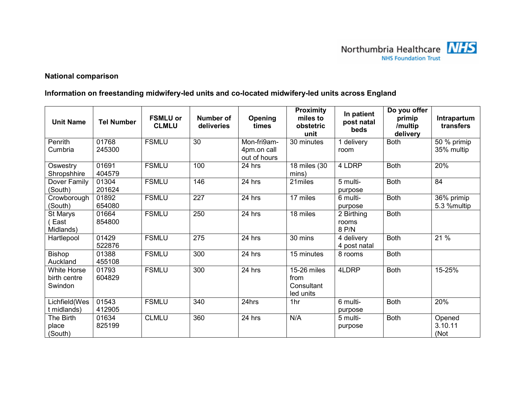

# **National comparison**

# **Information on freestanding midwifery-led units and co-located midwifery-led units across England**

| <b>Unit Name</b>                              | <b>Tel Number</b> | <b>FSMLU or</b><br><b>CLMLU</b> | Number of<br>deliveries | Opening<br>times                           | <b>Proximity</b><br>miles to<br>obstetric<br>unit | In patient<br>post natal<br>beds | Do you offer<br>primip<br>/multip<br>delivery | Intrapartum<br>transfers  |
|-----------------------------------------------|-------------------|---------------------------------|-------------------------|--------------------------------------------|---------------------------------------------------|----------------------------------|-----------------------------------------------|---------------------------|
| Penrith<br>Cumbria                            | 01768<br>245300   | <b>FSMLU</b>                    | 30                      | Mon-fri9am-<br>4pm.on call<br>out of hours | 30 minutes                                        | 1 delivery<br>room               | <b>Both</b>                                   | 50 % primip<br>35% multip |
| Oswestry<br>Shropshhire                       | 01691<br>404579   | <b>FSMLU</b>                    | 100                     | 24 hrs                                     | 18 miles (30<br>mins)                             | 4 LDRP                           | <b>Both</b>                                   | 20%                       |
| Dover Family<br>(South)                       | 01304<br>201624   | <b>FSMLU</b>                    | 146                     | 24 hrs                                     | 21miles                                           | 5 multi-<br>purpose              | <b>Both</b>                                   | 84                        |
| Crowborough<br>(South)                        | 01892<br>654080   | <b>FSMLU</b>                    | 227                     | 24 hrs                                     | 17 miles                                          | 6 multi-<br>purpose              | <b>Both</b>                                   | 36% primip<br>5.3 %multip |
| St Marys<br>East<br>Midlands)                 | 01664<br>854800   | <b>FSMLU</b>                    | 250                     | 24 hrs                                     | 18 miles                                          | 2 Birthing<br>rooms<br>8 P/N     | <b>Both</b>                                   |                           |
| Hartlepool                                    | 01429<br>522876   | <b>FSMLU</b>                    | 275                     | 24 hrs                                     | 30 mins                                           | 4 delivery<br>4 post natal       | <b>Both</b>                                   | 21 %                      |
| <b>Bishop</b><br>Auckland                     | 01388<br>455108   | <b>FSMLU</b>                    | 300                     | 24 hrs                                     | 15 minutes                                        | 8 rooms                          | <b>Both</b>                                   |                           |
| <b>White Horse</b><br>birth centre<br>Swindon | 01793<br>604829   | <b>FSMLU</b>                    | 300                     | 24 hrs                                     | 15-26 miles<br>from<br>Consultant<br>led units    | 4LDRP                            | <b>Both</b>                                   | 15-25%                    |
| Lichfield(Wes<br>t midlands)                  | 01543<br>412905   | <b>FSMLU</b>                    | 340                     | 24hrs                                      | 1hr                                               | 6 multi-<br>purpose              | <b>Both</b>                                   | 20%                       |
| The Birth<br>place<br>(South)                 | 01634<br>825199   | <b>CLMLU</b>                    | 360                     | 24 hrs                                     | N/A                                               | 5 multi-<br>purpose              | <b>Both</b>                                   | Opened<br>3.10.11<br>(Not |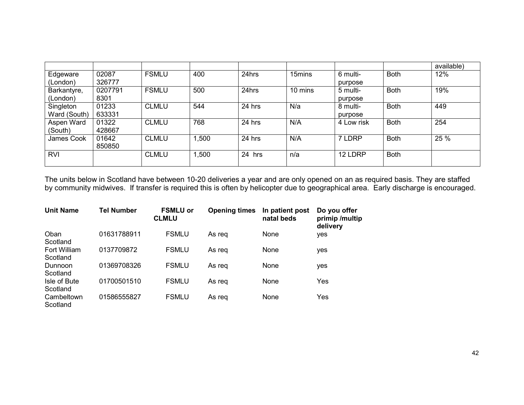|              |         |              |       |        |         |            |             | available) |
|--------------|---------|--------------|-------|--------|---------|------------|-------------|------------|
| Edgeware     | 02087   | <b>FSMLU</b> | 400   | 24hrs  | 15mins  | 6 multi-   | <b>Both</b> | 12%        |
| (London)     | 326777  |              |       |        |         | purpose    |             |            |
| Barkantyre,  | 0207791 | <b>FSMLU</b> | 500   | 24hrs  | 10 mins | 5 multi-   | <b>Both</b> | 19%        |
| (London)     | 8301    |              |       |        |         | purpose    |             |            |
| Singleton    | 01233   | <b>CLMLU</b> | 544   | 24 hrs | N/a     | 8 multi-   | <b>Both</b> | 449        |
| Ward (South) | 633331  |              |       |        |         | purpose    |             |            |
| Aspen Ward   | 01322   | <b>CLMLU</b> | 768   | 24 hrs | N/A     | 4 Low risk | <b>Both</b> | 254        |
| (South)      | 428667  |              |       |        |         |            |             |            |
| James Cook   | 01642   | <b>CLMLU</b> | 1,500 | 24 hrs | N/A     | 7 LDRP     | <b>Both</b> | 25 %       |
|              | 850850  |              |       |        |         |            |             |            |
| <b>RVI</b>   |         | <b>CLMLU</b> | 1,500 | 24 hrs | n/a     | 12 LDRP    | <b>Both</b> |            |
|              |         |              |       |        |         |            |             |            |

The units below in Scotland have between 10-20 deliveries a year and are only opened on an as required basis. They are staffed<br>by community midwives. If transfer is required this is often by helicopter due to geographical

| <b>Unit Name</b>         | <b>Tel Number</b> | <b>FSMLU or</b><br><b>CLMLU</b> | <b>Opening times</b> | In patient post<br>natal beds | Do you offer<br>primip /multip<br>delivery |
|--------------------------|-------------------|---------------------------------|----------------------|-------------------------------|--------------------------------------------|
| Oban<br>Scotland         | 01631788911       | <b>FSMLU</b>                    | As reg               | None                          | yes                                        |
| Fort William<br>Scotland | 0137709872        | <b>FSMLU</b>                    | As reg               | None                          | yes                                        |
| Dunnoon<br>Scotland      | 01369708326       | <b>FSMLU</b>                    | As reg               | None                          | yes                                        |
| Isle of Bute<br>Scotland | 01700501510       | <b>FSMLU</b>                    | As reg               | None                          | Yes                                        |
| Cambeltown<br>Scotland   | 01586555827       | <b>FSMLU</b>                    | As reg               | None                          | Yes                                        |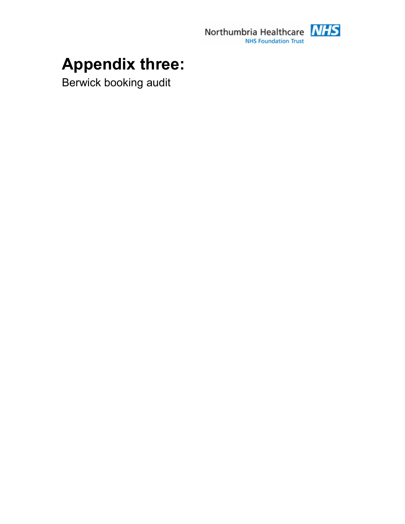

# **Appendix three:**

Berwick booking audit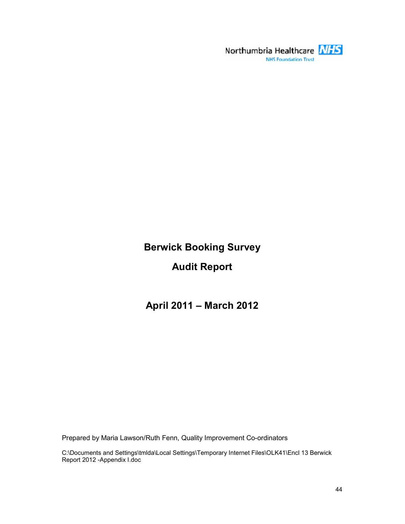

# **Berwick Booking Survey**

# **Audit Report**

**April 2011 – March 2012** 

Prepared by Maria Lawson/Ruth Fenn, Quality Improvement Co-ordinators

C:\Documents and Settings\tmlda\Local Settings\Temporary Internet Files\OLK41\Encl 13 Berwick Report 2012 -Appendix I.doc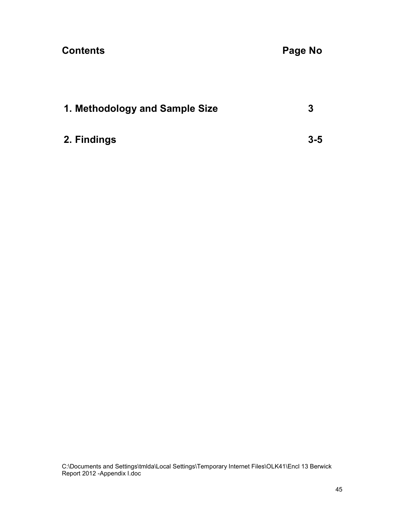# **Contents Contents Page No 2018**

| 1. Methodology and Sample Size |         |
|--------------------------------|---------|
| 2. Findings                    | $3 - 5$ |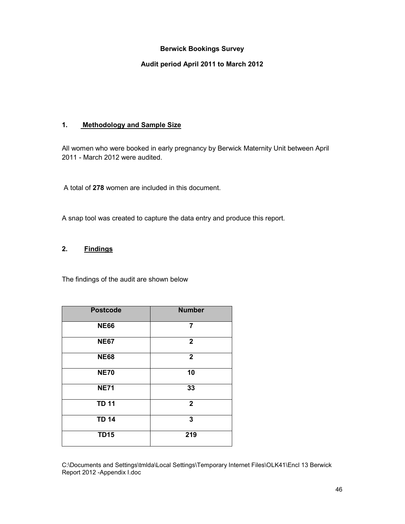### **Berwick Bookings Survey**

#### **Audit period April 2011 to March 2012**

# **1. Methodology and Sample Size**

All women who were booked in early pregnancy by Berwick Maternity Unit between April 2011 - March 2012 were audited.

A total of **278** women are included in this document.

A snap tool was created to capture the data entry and produce this report.

# **2. Findings**

The findings of the audit are shown below

| <b>Postcode</b> | <b>Number</b>  |
|-----------------|----------------|
| <b>NE66</b>     | 7              |
| <b>NE67</b>     | $\mathbf{2}$   |
| <b>NE68</b>     | $\overline{2}$ |
| <b>NE70</b>     | 10             |
| <b>NE71</b>     | 33             |
| <b>TD 11</b>    | $\mathbf{2}$   |
| <b>TD 14</b>    | 3              |
| <b>TD15</b>     | 219            |

C:\Documents and Settings\tmlda\Local Settings\Temporary Internet Files\OLK41\Encl 13 Berwick Report 2012 -Appendix I.doc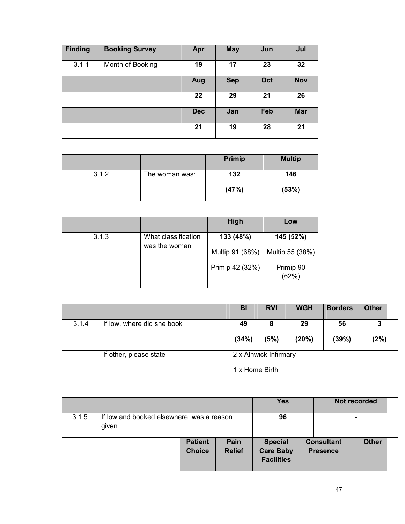| <b>Finding</b> | <b>Booking Survey</b> | Apr        | <b>May</b> | Jun | Jul        |
|----------------|-----------------------|------------|------------|-----|------------|
| 3.1.1          | Month of Booking      | 19         | 17         | 23  | 32         |
|                |                       | Aug        | <b>Sep</b> | Oct | <b>Nov</b> |
|                |                       | 22         | 29         | 21  | 26         |
|                |                       | <b>Dec</b> | Jan        | Feb | <b>Mar</b> |
|                |                       | 21         | 19         | 28  | 21         |

|       |                | <b>Primip</b> | <b>Multip</b> |
|-------|----------------|---------------|---------------|
| 3.1.2 | The woman was: | 132           | 146           |
|       |                | (47%)         | (53%)         |

|       |                                      | High            | Low                |
|-------|--------------------------------------|-----------------|--------------------|
| 3.1.3 | What classification<br>was the woman | 133 (48%)       | 145 (52%)          |
|       |                                      | Multip 91 (68%) | Multip 55 (38%)    |
|       |                                      | Primip 42 (32%) | Primip 90<br>(62%) |

|       |                            | BI                                      | <b>RVI</b> | <b>WGH</b>  | <b>Borders</b> | <b>Other</b> |  |
|-------|----------------------------|-----------------------------------------|------------|-------------|----------------|--------------|--|
| 3.1.4 | If low, where did she book | 49<br>(34%)                             | 8<br>(5%)  | 29<br>(20%) | 56<br>(39%)    | 3<br>(2%)    |  |
|       | If other, please state     | 2 x Alnwick Infirmary<br>1 x Home Birth |            |             |                |              |  |

|       |                                                    |                                 |                       | <b>Yes</b>                                              |                                      | Not recorded |  |
|-------|----------------------------------------------------|---------------------------------|-----------------------|---------------------------------------------------------|--------------------------------------|--------------|--|
| 3.1.5 | If low and booked elsewhere, was a reason<br>given |                                 |                       | 96                                                      |                                      |              |  |
|       |                                                    | <b>Patient</b><br><b>Choice</b> | Pain<br><b>Relief</b> | <b>Special</b><br><b>Care Baby</b><br><b>Facilities</b> | <b>Consultant</b><br><b>Presence</b> | <b>Other</b> |  |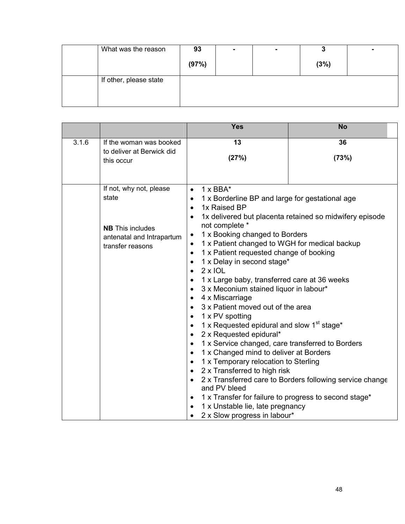| What was the reason    | 93    | ۰ | - | ч    |  |
|------------------------|-------|---|---|------|--|
|                        | (97%) |   |   | (3%) |  |
| If other, please state |       |   |   |      |  |
|                        |       |   |   |      |  |
|                        |       |   |   |      |  |

|       |                                                                                                              | <b>Yes</b>                                                                                                                                                                                                                                                                                                                                                                                                                                                                                                                                                                                                                                                                                                                                                                                                                                                                                                                                                                                                                                                                                                                                                                       | <b>No</b>                                                                                                           |
|-------|--------------------------------------------------------------------------------------------------------------|----------------------------------------------------------------------------------------------------------------------------------------------------------------------------------------------------------------------------------------------------------------------------------------------------------------------------------------------------------------------------------------------------------------------------------------------------------------------------------------------------------------------------------------------------------------------------------------------------------------------------------------------------------------------------------------------------------------------------------------------------------------------------------------------------------------------------------------------------------------------------------------------------------------------------------------------------------------------------------------------------------------------------------------------------------------------------------------------------------------------------------------------------------------------------------|---------------------------------------------------------------------------------------------------------------------|
| 3.1.6 | If the woman was booked                                                                                      | 13                                                                                                                                                                                                                                                                                                                                                                                                                                                                                                                                                                                                                                                                                                                                                                                                                                                                                                                                                                                                                                                                                                                                                                               | 36                                                                                                                  |
|       | to deliver at Berwick did<br>this occur                                                                      | (27%)                                                                                                                                                                                                                                                                                                                                                                                                                                                                                                                                                                                                                                                                                                                                                                                                                                                                                                                                                                                                                                                                                                                                                                            | (73%)                                                                                                               |
|       | If not, why not, please<br>state<br><b>NB</b> This includes<br>antenatal and Intrapartum<br>transfer reasons | $1 \times BBA^*$<br>$\bullet$<br>1 x Borderline BP and large for gestational age<br>$\bullet$<br>1x Raised BP<br>$\bullet$<br>$\bullet$<br>not complete *<br>1 x Booking changed to Borders<br>$\bullet$<br>1 x Patient changed to WGH for medical backup<br>$\bullet$<br>1 x Patient requested change of booking<br>$\bullet$<br>1 x Delay in second stage*<br>$\bullet$<br>$2 \times$ IOL<br>$\bullet$<br>1 x Large baby, transferred care at 36 weeks<br>$\bullet$<br>3 x Meconium stained liquor in labour*<br>$\bullet$<br>4 x Miscarriage<br>$\bullet$<br>3 x Patient moved out of the area<br>$\bullet$<br>1 x PV spotting<br>$\bullet$<br>1 x Requested epidural and slow 1 <sup>st</sup> stage*<br>$\bullet$<br>2 x Requested epidural*<br>$\bullet$<br>1 x Service changed, care transferred to Borders<br>$\bullet$<br>1 x Changed mind to deliver at Borders<br>$\bullet$<br>1 x Temporary relocation to Sterling<br>$\bullet$<br>2 x Transferred to high risk<br>$\bullet$<br>$\bullet$<br>and PV bleed<br>1 x Transfer for failure to progress to second stage*<br>$\bullet$<br>1 x Unstable lie, late pregnancy<br>٠<br>2 x Slow progress in labour*<br>$\bullet$ | 1x delivered but placenta retained so midwifery episode<br>2 x Transferred care to Borders following service change |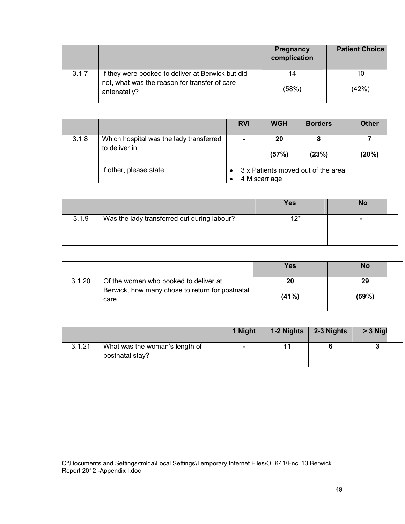|       |                                                               | <b>Pregnancy</b><br>complication | <b>Patient Choice</b> |
|-------|---------------------------------------------------------------|----------------------------------|-----------------------|
| 3.1.7 | If they were booked to deliver at Berwick but did             | 14                               | 10                    |
|       | not, what was the reason for transfer of care<br>antenatally? | (58%)                            | (42%)                 |

|       |                                                          | <b>RVI</b>                                          | <b>WGH</b>  | <b>Borders</b> | <b>Other</b> |
|-------|----------------------------------------------------------|-----------------------------------------------------|-------------|----------------|--------------|
| 3.1.8 | Which hospital was the lady transferred<br>to deliver in | ۰                                                   | 20<br>(57%) | (23%)          | (20%)        |
|       | If other, please state                                   | 3 x Patients moved out of the area<br>4 Miscarriage |             |                |              |

|       |                                             | Yes   | No |
|-------|---------------------------------------------|-------|----|
| 3.1.9 | Was the lady transferred out during labour? | $12*$ |    |
|       |                                             |       |    |

|        |                                                         | Yes   | No    |
|--------|---------------------------------------------------------|-------|-------|
| 3.1.20 | Of the women who booked to deliver at                   | 20    | 29    |
|        | Berwick, how many chose to return for postnatal<br>care | (41%) | (59%) |

|        |                                                   | 1 Night |    | 1-2 Nights $\vert$ 2-3 Nights | $> 3$ Nigl |
|--------|---------------------------------------------------|---------|----|-------------------------------|------------|
| 3.1.21 | What was the woman's length of<br>postnatal stay? |         | 11 |                               |            |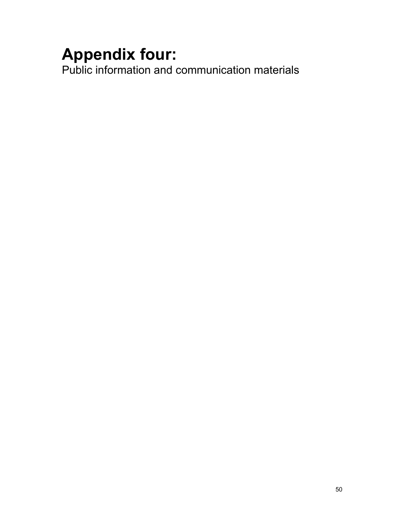# **Appendix four:**

Public information and communication materials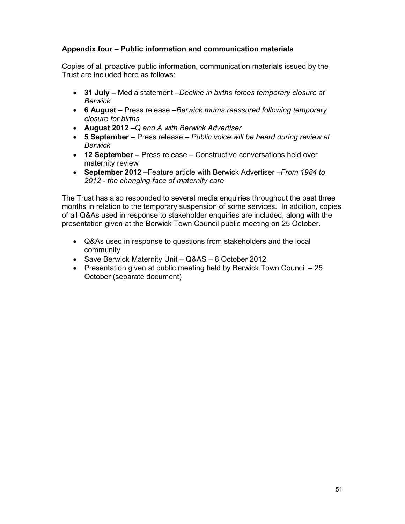# **Appendix four – Public information and communication materials**

Copies of all proactive public information, communication materials issued by the Trust are included here as follows:

- **31 July –** Media statement –*Decline in births forces temporary closure at Berwick*
- **6 August –** Press release –*Berwick mums reassured following temporary closure for births*
- **August 2012 –***Q and A with Berwick Advertiser*
- **5 September –** Press release – *Public voice will be heard during review at Berwick*
- **12 September –** Press release Constructive conversations held over maternity review
- **September 2012 –**Feature article with Berwick Advertiser –*From 1984 to 2012 - the changing face of maternity care*

The Trust has also responded to several media enquiries throughout the past three months in relation to the temporary suspension of some services. In addition, copies of all Q&As used in response to stakeholder enquiries are included, along with the presentation given at the Berwick Town Council public meeting on 25 October.

- Q&As used in response to questions from stakeholders and the local community
- Save Berwick Maternity Unit Q&AS 8 October 2012
- Presentation given at public meeting held by Berwick Town Council 25 October (separate document)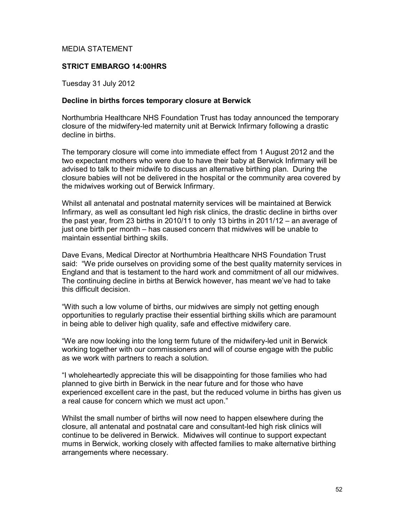# MEDIA STATEMENT

# **STRICT EMBARGO 14:00HRS**

Tuesday 31 July 2012

## **Decline in births forces temporary closure at Berwick**

Northumbria Healthcare NHS Foundation Trust has today announced the temporary closure of the midwifery-led maternity unit at Berwick Infirmary following a drastic decline in births.

The temporary closure will come into immediate effect from 1 August 2012 and the two expectant mothers who were due to have their baby at Berwick Infirmary will be advised to talk to their midwife to discuss an alternative birthing plan. During the closure babies will not be delivered in the hospital or the community area covered by the midwives working out of Berwick Infirmary.

Whilst all antenatal and postnatal maternity services will be maintained at Berwick Infirmary, as well as consultant led high risk clinics, the drastic decline in births over the past year, from 23 births in 2010/11 to only 13 births in 2011/12 – an average of just one birth per month – has caused concern that midwives will be unable to maintain essential birthing skills.

Dave Evans, Medical Director at Northumbria Healthcare NHS Foundation Trust said: "We pride ourselves on providing some of the best quality maternity services in England and that is testament to the hard work and commitment of all our midwives. The continuing decline in births at Berwick however, has meant we've had to take this difficult decision.

"With such a low volume of births, our midwives are simply not getting enough opportunities to regularly practise their essential birthing skills which are paramount in being able to deliver high quality, safe and effective midwifery care.

"We are now looking into the long term future of the midwifery-led unit in Berwick working together with our commissioners and will of course engage with the public as we work with partners to reach a solution.

"I wholeheartedly appreciate this will be disappointing for those families who had planned to give birth in Berwick in the near future and for those who have experienced excellent care in the past, but the reduced volume in births has given us a real cause for concern which we must act upon."

Whilst the small number of births will now need to happen elsewhere during the closure, all antenatal and postnatal care and consultant-led high risk clinics will continue to be delivered in Berwick. Midwives will continue to support expectant mums in Berwick, working closely with affected families to make alternative birthing arrangements where necessary.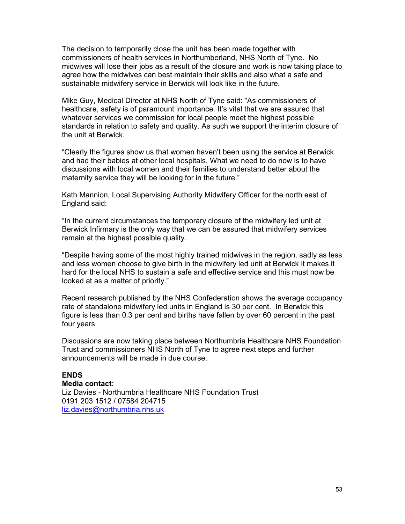The decision to temporarily close the unit has been made together with commissioners of health services in Northumberland, NHS North of Tyne. No midwives will lose their jobs as a result of the closure and work is now taking place to agree how the midwives can best maintain their skills and also what a safe and sustainable midwifery service in Berwick will look like in the future.

Mike Guy, Medical Director at NHS North of Tyne said: "As commissioners of healthcare, safety is of paramount importance. It's vital that we are assured that whatever services we commission for local people meet the highest possible standards in relation to safety and quality. As such we support the interim closure of the unit at Berwick.

"Clearly the figures show us that women haven't been using the service at Berwick and had their babies at other local hospitals. What we need to do now is to have discussions with local women and their families to understand better about the maternity service they will be looking for in the future."

Kath Mannion, Local Supervising Authority Midwifery Officer for the north east of England said:

"In the current circumstances the temporary closure of the midwifery led unit at Berwick Infirmary is the only way that we can be assured that midwifery services remain at the highest possible quality.

"Despite having some of the most highly trained midwives in the region, sadly as less and less women choose to give birth in the midwifery led unit at Berwick it makes it hard for the local NHS to sustain a safe and effective service and this must now be looked at as a matter of priority."

Recent research published by the NHS Confederation shows the average occupancy rate of standalone midwifery led units in England is 30 per cent. In Berwick this figure is less than 0.3 per cent and births have fallen by over 60 percent in the past four years.

Discussions are now taking place between Northumbria Healthcare NHS Foundation Trust and commissioners NHS North of Tyne to agree next steps and further announcements will be made in due course.

# **ENDS**

#### **Media contact:**

Liz Davies - Northumbria Healthcare NHS Foundation Trust 0191 203 1512 / 07584 204715 liz.davies@northumbria.nhs.uk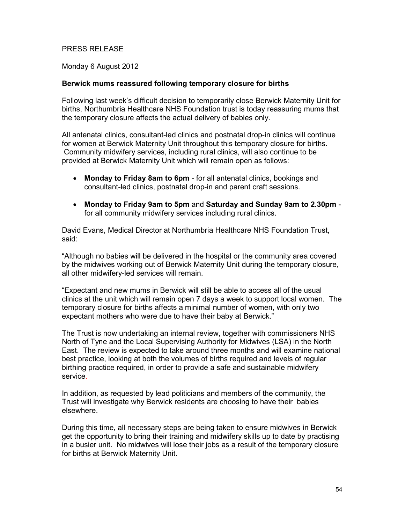# PRESS RELEASE

Monday 6 August 2012

# **Berwick mums reassured following temporary closure for births**

Following last week's difficult decision to temporarily close Berwick Maternity Unit for births, Northumbria Healthcare NHS Foundation trust is today reassuring mums that the temporary closure affects the actual delivery of babies only.

All antenatal clinics, consultant-led clinics and postnatal drop-in clinics will continue for women at Berwick Maternity Unit throughout this temporary closure for births. Community midwifery services, including rural clinics, will also continue to be provided at Berwick Maternity Unit which will remain open as follows:

- **Monday to Friday 8am to 6pm** for all antenatal clinics, bookings and consultant-led clinics, postnatal drop-in and parent craft sessions.
- **Monday to Friday 9am to 5pm** and **Saturday and Sunday 9am to 2.30pm** for all community midwifery services including rural clinics.

David Evans, Medical Director at Northumbria Healthcare NHS Foundation Trust, said:

"Although no babies will be delivered in the hospital or the community area covered by the midwives working out of Berwick Maternity Unit during the temporary closure, all other midwifery-led services will remain.

"Expectant and new mums in Berwick will still be able to access all of the usual clinics at the unit which will remain open 7 days a week to support local women. The temporary closure for births affects a minimal number of women, with only two expectant mothers who were due to have their baby at Berwick."

The Trust is now undertaking an internal review, together with commissioners NHS North of Tyne and the Local Supervising Authority for Midwives (LSA) in the North East. The review is expected to take around three months and will examine national best practice, looking at both the volumes of births required and levels of regular birthing practice required, in order to provide a safe and sustainable midwifery service*.* 

In addition, as requested by lead politicians and members of the community, the Trust will investigate why Berwick residents are choosing to have their babies elsewhere.

During this time, all necessary steps are being taken to ensure midwives in Berwick get the opportunity to bring their training and midwifery skills up to date by practising in a busier unit. No midwives will lose their jobs as a result of the temporary closure for births at Berwick Maternity Unit.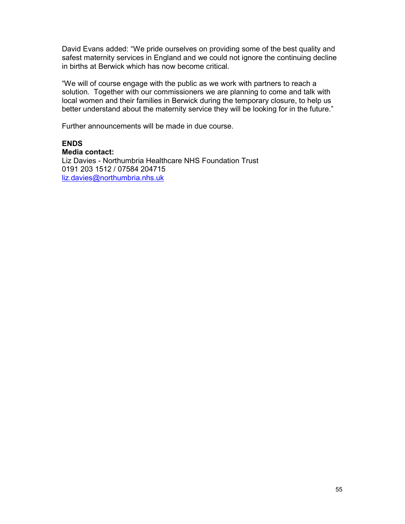David Evans added: "We pride ourselves on providing some of the best quality and safest maternity services in England and we could not ignore the continuing decline in births at Berwick which has now become critical.

"We will of course engage with the public as we work with partners to reach a solution. Together with our commissioners we are planning to come and talk with local women and their families in Berwick during the temporary closure, to help us better understand about the maternity service they will be looking for in the future."

Further announcements will be made in due course.

# **ENDS**

**Media contact:**  Liz Davies - Northumbria Healthcare NHS Foundation Trust 0191 203 1512 / 07584 204715

liz.davies@northumbria.nhs.uk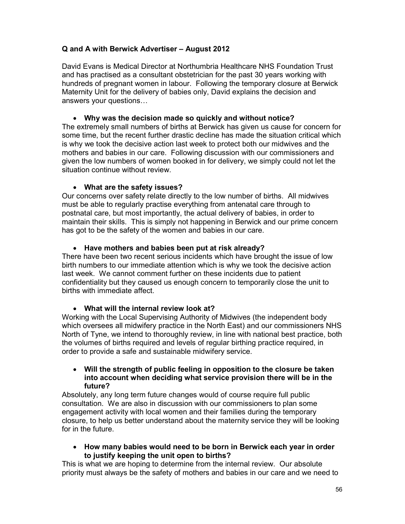# **Q and A with Berwick Advertiser – August 2012**

David Evans is Medical Director at Northumbria Healthcare NHS Foundation Trust and has practised as a consultant obstetrician for the past 30 years working with hundreds of pregnant women in labour. Following the temporary closure at Berwick Maternity Unit for the delivery of babies only, David explains the decision and answers your questions…

# • **Why was the decision made so quickly and without notice?**

The extremely small numbers of births at Berwick has given us cause for concern for some time, but the recent further drastic decline has made the situation critical which is why we took the decisive action last week to protect both our midwives and the mothers and babies in our care. Following discussion with our commissioners and given the low numbers of women booked in for delivery, we simply could not let the situation continue without review.

# • **What are the safety issues?**

Our concerns over safety relate directly to the low number of births. All midwives must be able to regularly practise everything from antenatal care through to postnatal care, but most importantly, the actual delivery of babies, in order to maintain their skills. This is simply not happening in Berwick and our prime concern has got to be the safety of the women and babies in our care.

# • **Have mothers and babies been put at risk already?**

There have been two recent serious incidents which have brought the issue of low birth numbers to our immediate attention which is why we took the decisive action last week. We cannot comment further on these incidents due to patient confidentiality but they caused us enough concern to temporarily close the unit to births with immediate affect.

# • **What will the internal review look at?**

Working with the Local Supervising Authority of Midwives (the independent body which oversees all midwifery practice in the North East) and our commissioners NHS North of Tyne, we intend to thoroughly review, in line with national best practice, both the volumes of births required and levels of regular birthing practice required, in order to provide a safe and sustainable midwifery service.

# • **Will the strength of public feeling in opposition to the closure be taken into account when deciding what service provision there will be in the future?**

Absolutely, any long term future changes would of course require full public consultation. We are also in discussion with our commissioners to plan some engagement activity with local women and their families during the temporary closure, to help us better understand about the maternity service they will be looking for in the future.

# • **How many babies would need to be born in Berwick each year in order to justify keeping the unit open to births?**

This is what we are hoping to determine from the internal review. Our absolute priority must always be the safety of mothers and babies in our care and we need to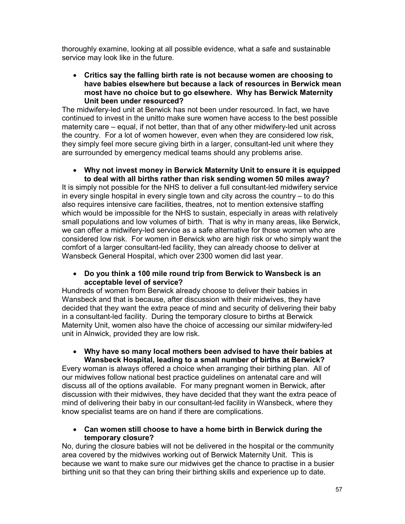thoroughly examine, looking at all possible evidence, what a safe and sustainable service may look like in the future.

# • **Critics say the falling birth rate is not because women are choosing to have babies elsewhere but because a lack of resources in Berwick mean most have no choice but to go elsewhere. Why has Berwick Maternity Unit been under resourced?**

The midwifery-led unit at Berwick has not been under resourced. In fact, we have continued to invest in the unitto make sure women have access to the best possible maternity care – equal, if not better, than that of any other midwifery-led unit across the country. For a lot of women however, even when they are considered low risk, they simply feel more secure giving birth in a larger, consultant-led unit where they are surrounded by emergency medical teams should any problems arise.

## • **Why not invest money in Berwick Maternity Unit to ensure it is equipped to deal with all births rather than risk sending women 50 miles away?**

It is simply not possible for the NHS to deliver a full consultant-led midwifery service in every single hospital in every single town and city across the country – to do this also requires intensive care facilities, theatres, not to mention extensive staffing which would be impossible for the NHS to sustain, especially in areas with relatively small populations and low volumes of birth. That is why in many areas, like Berwick, we can offer a midwifery-led service as a safe alternative for those women who are considered low risk. For women in Berwick who are high risk or who simply want the comfort of a larger consultant-led facility, they can already choose to deliver at Wansbeck General Hospital, which over 2300 women did last year.

# • **Do you think a 100 mile round trip from Berwick to Wansbeck is an acceptable level of service?**

Hundreds of women from Berwick already choose to deliver their babies in Wansbeck and that is because, after discussion with their midwives, they have decided that they want the extra peace of mind and security of delivering their baby in a consultant-led facility. During the temporary closure to births at Berwick Maternity Unit, women also have the choice of accessing our similar midwifery-led unit in Alnwick, provided they are low risk.

# • **Why have so many local mothers been advised to have their babies at Wansbeck Hospital, leading to a small number of births at Berwick?**

Every woman is always offered a choice when arranging their birthing plan. All of our midwives follow national best practice guidelines on antenatal care and will discuss all of the options available. For many pregnant women in Berwick, after discussion with their midwives, they have decided that they want the extra peace of mind of delivering their baby in our consultant-led facility in Wansbeck, where they know specialist teams are on hand if there are complications.

# • **Can women still choose to have a home birth in Berwick during the temporary closure?**

No, during the closure babies will not be delivered in the hospital or the community area covered by the midwives working out of Berwick Maternity Unit. This is because we want to make sure our midwives get the chance to practise in a busier birthing unit so that they can bring their birthing skills and experience up to date.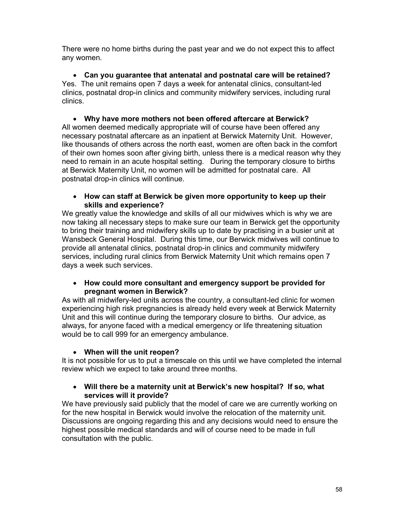There were no home births during the past year and we do not expect this to affect any women.

• **Can you guarantee that antenatal and postnatal care will be retained?**  Yes. The unit remains open 7 days a week for antenatal clinics, consultant-led clinics, postnatal drop-in clinics and community midwifery services, including rural clinics.

• **Why have more mothers not been offered aftercare at Berwick?**  All women deemed medically appropriate will of course have been offered any necessary postnatal aftercare as an inpatient at Berwick Maternity Unit. However, like thousands of others across the north east, women are often back in the comfort of their own homes soon after giving birth, unless there is a medical reason why they need to remain in an acute hospital setting. During the temporary closure to births at Berwick Maternity Unit, no women will be admitted for postnatal care. All postnatal drop-in clinics will continue.

# • **How can staff at Berwick be given more opportunity to keep up their skills and experience?**

We greatly value the knowledge and skills of all our midwives which is why we are now taking all necessary steps to make sure our team in Berwick get the opportunity to bring their training and midwifery skills up to date by practising in a busier unit at Wansbeck General Hospital. During this time, our Berwick midwives will continue to provide all antenatal clinics, postnatal drop-in clinics and community midwifery services, including rural clinics from Berwick Maternity Unit which remains open 7 days a week such services.

# • **How could more consultant and emergency support be provided for pregnant women in Berwick?**

As with all midwifery-led units across the country, a consultant-led clinic for women experiencing high risk pregnancies is already held every week at Berwick Maternity Unit and this will continue during the temporary closure to births. Our advice, as always, for anyone faced with a medical emergency or life threatening situation would be to call 999 for an emergency ambulance.

# • **When will the unit reopen?**

It is not possible for us to put a timescale on this until we have completed the internal review which we expect to take around three months.

# • **Will there be a maternity unit at Berwick's new hospital? If so, what services will it provide?**

We have previously said publicly that the model of care we are currently working on for the new hospital in Berwick would involve the relocation of the maternity unit. Discussions are ongoing regarding this and any decisions would need to ensure the highest possible medical standards and will of course need to be made in full consultation with the public.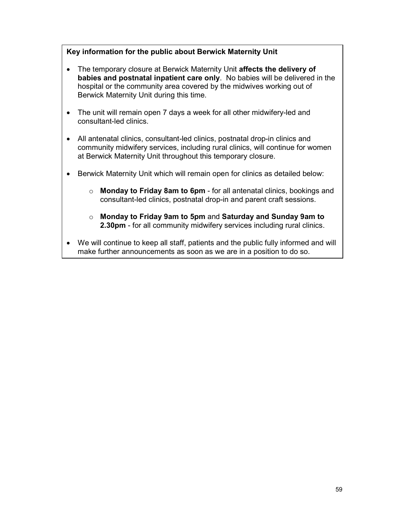# **Key information for the public about Berwick Maternity Unit**

- The temporary closure at Berwick Maternity Unit **affects the delivery of babies and postnatal inpatient care only**. No babies will be delivered in the hospital or the community area covered by the midwives working out of Berwick Maternity Unit during this time.
- The unit will remain open 7 days a week for all other midwifery-led and consultant-led clinics.
- All antenatal clinics, consultant-led clinics, postnatal drop-in clinics and community midwifery services, including rural clinics, will continue for women at Berwick Maternity Unit throughout this temporary closure.
- Berwick Maternity Unit which will remain open for clinics as detailed below:
	- o **Monday to Friday 8am to 6pm** for all antenatal clinics, bookings and consultant-led clinics, postnatal drop-in and parent craft sessions.
	- o **Monday to Friday 9am to 5pm** and **Saturday and Sunday 9am to 2.30pm** - for all community midwifery services including rural clinics.
- We will continue to keep all staff, patients and the public fully informed and will make further announcements as soon as we are in a position to do so.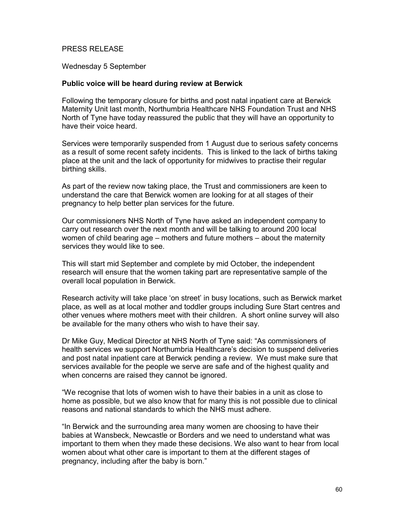# PRESS RELEASE

Wednesday 5 September

#### **Public voice will be heard during review at Berwick**

Following the temporary closure for births and post natal inpatient care at Berwick Maternity Unit last month, Northumbria Healthcare NHS Foundation Trust and NHS North of Tyne have today reassured the public that they will have an opportunity to have their voice heard.

Services were temporarily suspended from 1 August due to serious safety concerns as a result of some recent safety incidents. This is linked to the lack of births taking place at the unit and the lack of opportunity for midwives to practise their regular birthing skills.

As part of the review now taking place, the Trust and commissioners are keen to understand the care that Berwick women are looking for at all stages of their pregnancy to help better plan services for the future.

Our commissioners NHS North of Tyne have asked an independent company to carry out research over the next month and will be talking to around 200 local women of child bearing age – mothers and future mothers – about the maternity services they would like to see.

This will start mid September and complete by mid October, the independent research will ensure that the women taking part are representative sample of the overall local population in Berwick.

Research activity will take place 'on street' in busy locations, such as Berwick market place, as well as at local mother and toddler groups including Sure Start centres and other venues where mothers meet with their children. A short online survey will also be available for the many others who wish to have their say.

Dr Mike Guy, Medical Director at NHS North of Tyne said: "As commissioners of health services we support Northumbria Healthcare's decision to suspend deliveries and post natal inpatient care at Berwick pending a review. We must make sure that services available for the people we serve are safe and of the highest quality and when concerns are raised they cannot be ignored.

"We recognise that lots of women wish to have their babies in a unit as close to home as possible, but we also know that for many this is not possible due to clinical reasons and national standards to which the NHS must adhere.

"In Berwick and the surrounding area many women are choosing to have their babies at Wansbeck, Newcastle or Borders and we need to understand what was important to them when they made these decisions. We also want to hear from local women about what other care is important to them at the different stages of pregnancy, including after the baby is born."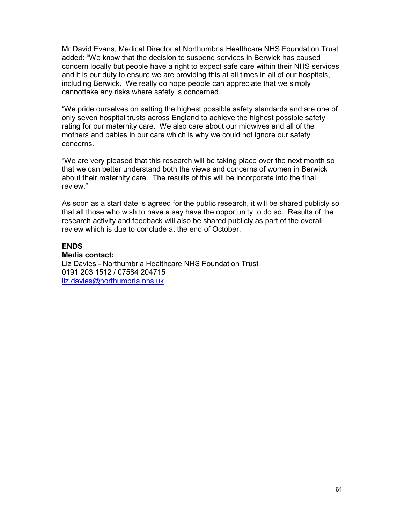Mr David Evans, Medical Director at Northumbria Healthcare NHS Foundation Trust added: "We know that the decision to suspend services in Berwick has caused concern locally but people have a right to expect safe care within their NHS services and it is our duty to ensure we are providing this at all times in all of our hospitals, including Berwick. We really do hope people can appreciate that we simply cannottake any risks where safety is concerned.

"We pride ourselves on setting the highest possible safety standards and are one of only seven hospital trusts across England to achieve the highest possible safety rating for our maternity care. We also care about our midwives and all of the mothers and babies in our care which is why we could not ignore our safety concerns.

"We are very pleased that this research will be taking place over the next month so that we can better understand both the views and concerns of women in Berwick about their maternity care. The results of this will be incorporate into the final review."

As soon as a start date is agreed for the public research, it will be shared publicly so that all those who wish to have a say have the opportunity to do so. Results of the research activity and feedback will also be shared publicly as part of the overall review which is due to conclude at the end of October.

#### **ENDS**

# **Media contact:**

Liz Davies - Northumbria Healthcare NHS Foundation Trust 0191 203 1512 / 07584 204715 liz.davies@northumbria.nhs.uk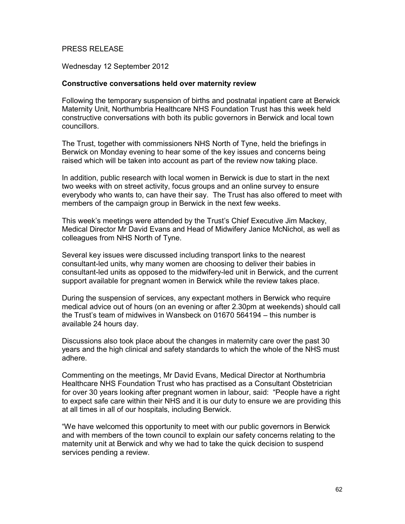# PRESS RELEASE

Wednesday 12 September 2012

## **Constructive conversations held over maternity review**

Following the temporary suspension of births and postnatal inpatient care at Berwick Maternity Unit, Northumbria Healthcare NHS Foundation Trust has this week held constructive conversations with both its public governors in Berwick and local town councillors.

The Trust, together with commissioners NHS North of Tyne, held the briefings in Berwick on Monday evening to hear some of the key issues and concerns being raised which will be taken into account as part of the review now taking place.

In addition, public research with local women in Berwick is due to start in the next two weeks with on street activity, focus groups and an online survey to ensure everybody who wants to, can have their say. The Trust has also offered to meet with members of the campaign group in Berwick in the next few weeks.

This week's meetings were attended by the Trust's Chief Executive Jim Mackey, Medical Director Mr David Evans and Head of Midwifery Janice McNichol, as well as colleagues from NHS North of Tyne.

Several key issues were discussed including transport links to the nearest consultant-led units, why many women are choosing to deliver their babies in consultant-led units as opposed to the midwifery-led unit in Berwick, and the current support available for pregnant women in Berwick while the review takes place.

During the suspension of services, any expectant mothers in Berwick who require medical advice out of hours (on an evening or after 2.30pm at weekends) should call the Trust's team of midwives in Wansbeck on 01670 564194 – this number is available 24 hours day.

Discussions also took place about the changes in maternity care over the past 30 years and the high clinical and safety standards to which the whole of the NHS must adhere.

Commenting on the meetings, Mr David Evans, Medical Director at Northumbria Healthcare NHS Foundation Trust who has practised as a Consultant Obstetrician for over 30 years looking after pregnant women in labour, said: "People have a right to expect safe care within their NHS and it is our duty to ensure we are providing this at all times in all of our hospitals, including Berwick.

"We have welcomed this opportunity to meet with our public governors in Berwick and with members of the town council to explain our safety concerns relating to the maternity unit at Berwick and why we had to take the quick decision to suspend services pending a review.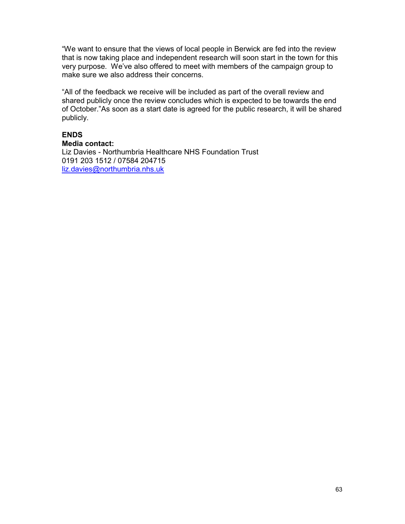"We want to ensure that the views of local people in Berwick are fed into the review that is now taking place and independent research will soon start in the town for this very purpose. We've also offered to meet with members of the campaign group to make sure we also address their concerns.

"All of the feedback we receive will be included as part of the overall review and shared publicly once the review concludes which is expected to be towards the end of October."As soon as a start date is agreed for the public research, it will be shared publicly.

# **ENDS**

**Media contact:**  Liz Davies - Northumbria Healthcare NHS Foundation Trust 0191 203 1512 / 07584 204715 liz.davies@northumbria.nhs.uk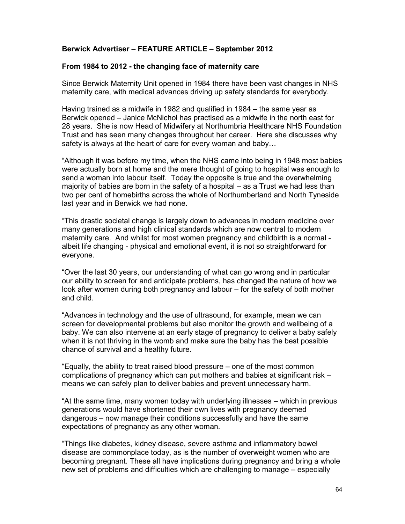# **Berwick Advertiser – FEATURE ARTICLE – September 2012**

### **From 1984 to 2012 - the changing face of maternity care**

Since Berwick Maternity Unit opened in 1984 there have been vast changes in NHS maternity care, with medical advances driving up safety standards for everybody.

Having trained as a midwife in 1982 and qualified in 1984 – the same year as Berwick opened – Janice McNichol has practised as a midwife in the north east for 28 years. She is now Head of Midwifery at Northumbria Healthcare NHS Foundation Trust and has seen many changes throughout her career. Here she discusses why safety is always at the heart of care for every woman and baby…

"Although it was before my time, when the NHS came into being in 1948 most babies were actually born at home and the mere thought of going to hospital was enough to send a woman into labour itself. Today the opposite is true and the overwhelming majority of babies are born in the safety of a hospital – as a Trust we had less than two per cent of homebirths across the whole of Northumberland and North Tyneside last year and in Berwick we had none.

"This drastic societal change is largely down to advances in modern medicine over many generations and high clinical standards which are now central to modern maternity care. And whilst for most women pregnancy and childbirth is a normal albeit life changing - physical and emotional event, it is not so straightforward for everyone.

"Over the last 30 years, our understanding of what can go wrong and in particular our ability to screen for and anticipate problems, has changed the nature of how we look after women during both pregnancy and labour – for the safety of both mother and child.

"Advances in technology and the use of ultrasound, for example, mean we can screen for developmental problems but also monitor the growth and wellbeing of a baby. We can also intervene at an early stage of pregnancy to deliver a baby safely when it is not thriving in the womb and make sure the baby has the best possible chance of survival and a healthy future.

"Equally, the ability to treat raised blood pressure – one of the most common complications of pregnancy which can put mothers and babies at significant risk – means we can safely plan to deliver babies and prevent unnecessary harm.

"At the same time, many women today with underlying illnesses – which in previous generations would have shortened their own lives with pregnancy deemed dangerous – now manage their conditions successfully and have the same expectations of pregnancy as any other woman.

"Things like diabetes, kidney disease, severe asthma and inflammatory bowel disease are commonplace today, as is the number of overweight women who are becoming pregnant. These all have implications during pregnancy and bring a whole new set of problems and difficulties which are challenging to manage – especially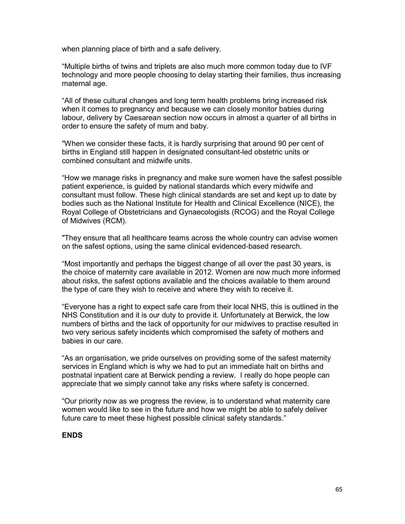when planning place of birth and a safe delivery.

"Multiple births of twins and triplets are also much more common today due to IVF technology and more people choosing to delay starting their families, thus increasing maternal age.

"All of these cultural changes and long term health problems bring increased risk when it comes to pregnancy and because we can closely monitor babies during labour, delivery by Caesarean section now occurs in almost a quarter of all births in order to ensure the safety of mum and baby.

"When we consider these facts, it is hardly surprising that around 90 per cent of births in England still happen in designated consultant-led obstetric units or combined consultant and midwife units.

"How we manage risks in pregnancy and make sure women have the safest possible patient experience, is guided by national standards which every midwife and consultant must follow. These high clinical standards are set and kept up to date by bodies such as the National Institute for Health and Clinical Excellence (NICE), the Royal College of Obstetricians and Gynaecologists (RCOG) and the Royal College of Midwives (RCM).

"They ensure that all healthcare teams across the whole country can advise women on the safest options, using the same clinical evidenced-based research.

"Most importantly and perhaps the biggest change of all over the past 30 years, is the choice of maternity care available in 2012. Women are now much more informed about risks, the safest options available and the choices available to them around the type of care they wish to receive and where they wish to receive it.

"Everyone has a right to expect safe care from their local NHS, this is outlined in the NHS Constitution and it is our duty to provide it. Unfortunately at Berwick, the low numbers of births and the lack of opportunity for our midwives to practise resulted in two very serious safety incidents which compromised the safety of mothers and babies in our care.

"As an organisation, we pride ourselves on providing some of the safest maternity services in England which is why we had to put an immediate halt on births and postnatal inpatient care at Berwick pending a review. I really do hope people can appreciate that we simply cannot take any risks where safety is concerned.

"Our priority now as we progress the review, is to understand what maternity care women would like to see in the future and how we might be able to safely deliver future care to meet these highest possible clinical safety standards."

# **ENDS**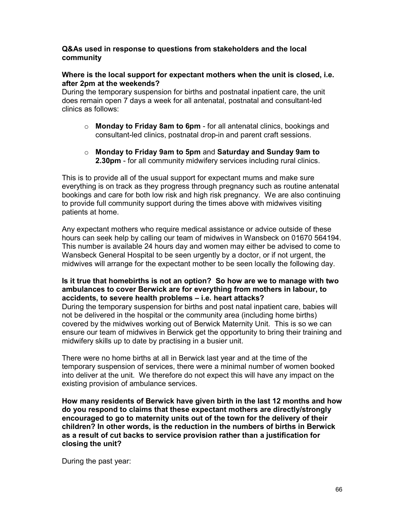# **Q&As used in response to questions from stakeholders and the local community**

# **Where is the local support for expectant mothers when the unit is closed, i.e. after 2pm at the weekends?**

During the temporary suspension for births and postnatal inpatient care, the unit does remain open 7 days a week for all antenatal, postnatal and consultant-led clinics as follows:

- o **Monday to Friday 8am to 6pm** for all antenatal clinics, bookings and consultant-led clinics, postnatal drop-in and parent craft sessions.
- o **Monday to Friday 9am to 5pm** and **Saturday and Sunday 9am to 2.30pm** - for all community midwifery services including rural clinics.

This is to provide all of the usual support for expectant mums and make sure everything is on track as they progress through pregnancy such as routine antenatal bookings and care for both low risk and high risk pregnancy. We are also continuing to provide full community support during the times above with midwives visiting patients at home.

Any expectant mothers who require medical assistance or advice outside of these hours can seek help by calling our team of midwives in Wansbeck on 01670 564194. This number is available 24 hours day and women may either be advised to come to Wansbeck General Hospital to be seen urgently by a doctor, or if not urgent, the midwives will arrange for the expectant mother to be seen locally the following day.

# **Is it true that homebirths is not an option? So how are we to manage with two ambulances to cover Berwick are for everything from mothers in labour, to accidents, to severe health problems – i.e. heart attacks?**

During the temporary suspension for births and post natal inpatient care, babies will not be delivered in the hospital or the community area (including home births) covered by the midwives working out of Berwick Maternity Unit. This is so we can ensure our team of midwives in Berwick get the opportunity to bring their training and midwifery skills up to date by practising in a busier unit.

There were no home births at all in Berwick last year and at the time of the temporary suspension of services, there were a minimal number of women booked into deliver at the unit. We therefore do not expect this will have any impact on the existing provision of ambulance services.

**How many residents of Berwick have given birth in the last 12 months and how do you respond to claims that these expectant mothers are directly/strongly encouraged to go to maternity units out of the town for the delivery of their children? In other words, is the reduction in the numbers of births in Berwick as a result of cut backs to service provision rather than a justification for closing the unit?** 

During the past year: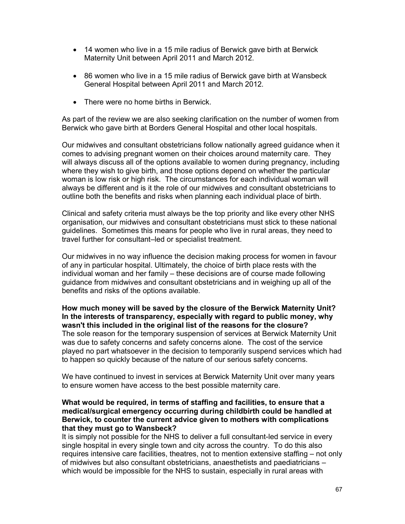- 14 women who live in a 15 mile radius of Berwick gave birth at Berwick Maternity Unit between April 2011 and March 2012.
- 86 women who live in a 15 mile radius of Berwick gave birth at Wansbeck General Hospital between April 2011 and March 2012.
- There were no home births in Berwick.

As part of the review we are also seeking clarification on the number of women from Berwick who gave birth at Borders General Hospital and other local hospitals.

Our midwives and consultant obstetricians follow nationally agreed guidance when it comes to advising pregnant women on their choices around maternity care. They will always discuss all of the options available to women during pregnancy, including where they wish to give birth, and those options depend on whether the particular woman is low risk or high risk. The circumstances for each individual woman will always be different and is it the role of our midwives and consultant obstetricians to outline both the benefits and risks when planning each individual place of birth.

Clinical and safety criteria must always be the top priority and like every other NHS organisation, our midwives and consultant obstetricians must stick to these national guidelines. Sometimes this means for people who live in rural areas, they need to travel further for consultant–led or specialist treatment.

Our midwives in no way influence the decision making process for women in favour of any in particular hospital. Ultimately, the choice of birth place rests with the individual woman and her family – these decisions are of course made following guidance from midwives and consultant obstetricians and in weighing up all of the benefits and risks of the options available.

**How much money will be saved by the closure of the Berwick Maternity Unit? In the interests of transparency, especially with regard to public money, why wasn't this included in the original list of the reasons for the closure?**  The sole reason for the temporary suspension of services at Berwick Maternity Unit was due to safety concerns and safety concerns alone. The cost of the service played no part whatsoever in the decision to temporarily suspend services which had to happen so quickly because of the nature of our serious safety concerns.

We have continued to invest in services at Berwick Maternity Unit over many years to ensure women have access to the best possible maternity care.

## **What would be required, in terms of staffing and facilities, to ensure that a medical/surgical emergency occurring during childbirth could be handled at Berwick, to counter the current advice given to mothers with complications that they must go to Wansbeck?**

It is simply not possible for the NHS to deliver a full consultant-led service in every single hospital in every single town and city across the country. To do this also requires intensive care facilities, theatres, not to mention extensive staffing – not only of midwives but also consultant obstetricians, anaesthetists and paediatricians – which would be impossible for the NHS to sustain, especially in rural areas with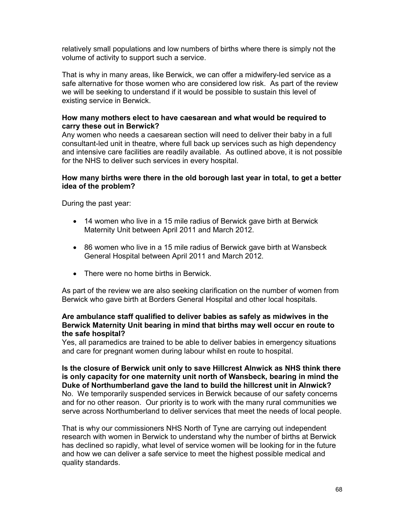relatively small populations and low numbers of births where there is simply not the volume of activity to support such a service.

That is why in many areas, like Berwick, we can offer a midwifery-led service as a safe alternative for those women who are considered low risk. As part of the review we will be seeking to understand if it would be possible to sustain this level of existing service in Berwick.

# **How many mothers elect to have caesarean and what would be required to carry these out in Berwick?**

Any women who needs a caesarean section will need to deliver their baby in a full consultant-led unit in theatre, where full back up services such as high dependency and intensive care facilities are readily available. As outlined above, it is not possible for the NHS to deliver such services in every hospital.

## **How many births were there in the old borough last year in total, to get a better idea of the problem?**

During the past year:

- 14 women who live in a 15 mile radius of Berwick gave birth at Berwick Maternity Unit between April 2011 and March 2012.
- 86 women who live in a 15 mile radius of Berwick gave birth at Wansbeck General Hospital between April 2011 and March 2012.
- There were no home births in Berwick.

As part of the review we are also seeking clarification on the number of women from Berwick who gave birth at Borders General Hospital and other local hospitals.

#### **Are ambulance staff qualified to deliver babies as safely as midwives in the Berwick Maternity Unit bearing in mind that births may well occur en route to the safe hospital?**

Yes, all paramedics are trained to be able to deliver babies in emergency situations and care for pregnant women during labour whilst en route to hospital.

**Is the closure of Berwick unit only to save Hillcrest Alnwick as NHS think there is only capacity for one maternity unit north of Wansbeck, bearing in mind the Duke of Northumberland gave the land to build the hillcrest unit in Alnwick?**  No. We temporarily suspended services in Berwick because of our safety concerns and for no other reason. Our priority is to work with the many rural communities we serve across Northumberland to deliver services that meet the needs of local people.

That is why our commissioners NHS North of Tyne are carrying out independent research with women in Berwick to understand why the number of births at Berwick has declined so rapidly, what level of service women will be looking for in the future and how we can deliver a safe service to meet the highest possible medical and quality standards.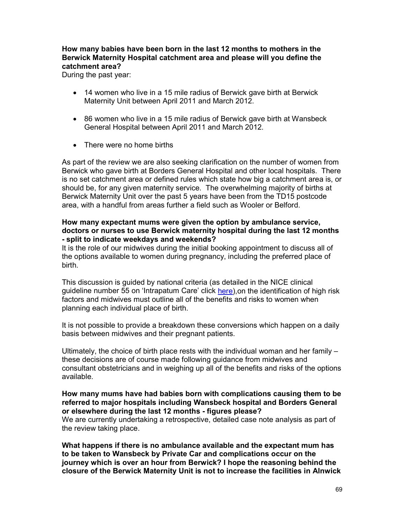# **How many babies have been born in the last 12 months to mothers in the Berwick Maternity Hospital catchment area and please will you define the catchment area?**

During the past year:

- 14 women who live in a 15 mile radius of Berwick gave birth at Berwick Maternity Unit between April 2011 and March 2012.
- 86 women who live in a 15 mile radius of Berwick gave birth at Wansbeck General Hospital between April 2011 and March 2012.
- There were no home births

As part of the review we are also seeking clarification on the number of women from Berwick who gave birth at Borders General Hospital and other local hospitals. There is no set catchment area or defined rules which state how big a catchment area is, or should be, for any given maternity service. The overwhelming majority of births at Berwick Maternity Unit over the past 5 years have been from the TD15 postcode area, with a handful from areas further a field such as Wooler or Belford.

# **How many expectant mums were given the option by ambulance service, doctors or nurses to use Berwick maternity hospital during the last 12 months - split to indicate weekdays and weekends?**

It is the role of our midwives during the initial booking appointment to discuss all of the options available to women during pregnancy, including the preferred place of birth.

This discussion is guided by national criteria (as detailed in the NICE clinical guideline number 55 on 'Intrapatum Care' click here), on the identification of high risk factors and midwives must outline all of the benefits and risks to women when planning each individual place of birth.

It is not possible to provide a breakdown these conversions which happen on a daily basis between midwives and their pregnant patients.

Ultimately, the choice of birth place rests with the individual woman and her family – these decisions are of course made following guidance from midwives and consultant obstetricians and in weighing up all of the benefits and risks of the options available.

# **How many mums have had babies born with complications causing them to be referred to major hospitals including Wansbeck hospital and Borders General or elsewhere during the last 12 months - figures please?**

We are currently undertaking a retrospective, detailed case note analysis as part of the review taking place.

**What happens if there is no ambulance available and the expectant mum has to be taken to Wansbeck by Private Car and complications occur on the journey which is over an hour from Berwick? I hope the reasoning behind the closure of the Berwick Maternity Unit is not to increase the facilities in Alnwick**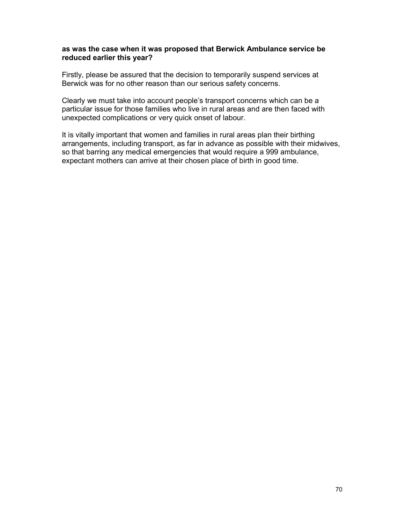#### **as was the case when it was proposed that Berwick Ambulance service be reduced earlier this year?**

Firstly, please be assured that the decision to temporarily suspend services at Berwick was for no other reason than our serious safety concerns.

Clearly we must take into account people's transport concerns which can be a particular issue for those families who live in rural areas and are then faced with unexpected complications or very quick onset of labour.

It is vitally important that women and families in rural areas plan their birthing arrangements, including transport, as far in advance as possible with their midwives, so that barring any medical emergencies that would require a 999 ambulance, expectant mothers can arrive at their chosen place of birth in good time.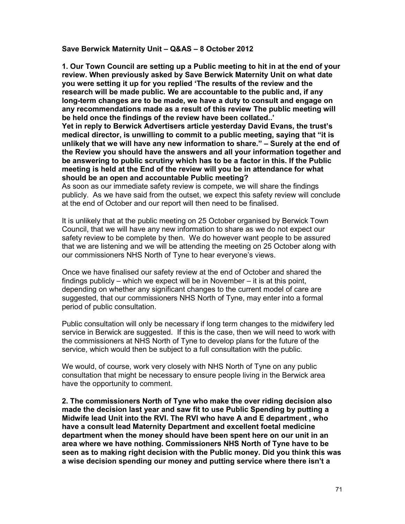#### **Save Berwick Maternity Unit – Q&AS – 8 October 2012**

**1. Our Town Council are setting up a Public meeting to hit in at the end of your review. When previously asked by Save Berwick Maternity Unit on what date you were setting it up for you replied 'The results of the review and the research will be made public. We are accountable to the public and, if any long-term changes are to be made, we have a duty to consult and engage on any recommendations made as a result of this review The public meeting will be held once the findings of the review have been collated..' Yet in reply to Berwick Advertisers article yesterday David Evans, the trust's medical director, is unwilling to commit to a public meeting, saying that "it is unlikely that we will have any new information to share." – Surely at the end of the Review you should have the answers and all your information together and be answering to public scrutiny which has to be a factor in this. If the Public meeting is held at the End of the review will you be in attendance for what should be an open and accountable Public meeting?** 

As soon as our immediate safety review is compete, we will share the findings publicly. As we have said from the outset, we expect this safety review will conclude at the end of October and our report will then need to be finalised.

It is unlikely that at the public meeting on 25 October organised by Berwick Town Council, that we will have any new information to share as we do not expect our safety review to be complete by then. We do however want people to be assured that we are listening and we will be attending the meeting on 25 October along with our commissioners NHS North of Tyne to hear everyone's views.

Once we have finalised our safety review at the end of October and shared the findings publicly – which we expect will be in November – it is at this point, depending on whether any significant changes to the current model of care are suggested, that our commissioners NHS North of Tyne, may enter into a formal period of public consultation.

Public consultation will only be necessary if long term changes to the midwifery led service in Berwick are suggested. If this is the case, then we will need to work with the commissioners at NHS North of Tyne to develop plans for the future of the service, which would then be subject to a full consultation with the public.

We would, of course, work very closely with NHS North of Tyne on any public consultation that might be necessary to ensure people living in the Berwick area have the opportunity to comment.

**2. The commissioners North of Tyne who make the over riding decision also made the decision last year and saw fit to use Public Spending by putting a Midwife lead Unit into the RVI. The RVI who have A and E department , who have a consult lead Maternity Department and excellent foetal medicine department when the money should have been spent here on our unit in an area where we have nothing. Commissioners NHS North of Tyne have to be seen as to making right decision with the Public money. Did you think this was a wise decision spending our money and putting service where there isn't a**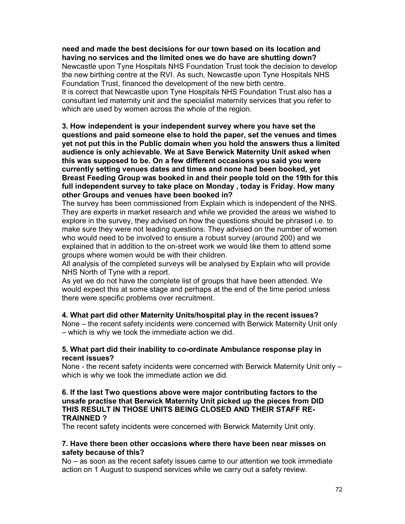**need and made the best decisions for our town based on its location and having no services and the limited ones we do have are shutting down?**  Newcastle upon Tyne Hospitals NHS Foundation Trust took the decision to develop the new birthing centre at the RVI. As such, Newcastle upon Tyne Hospitals NHS Foundation Trust, financed the development of the new birth centre. It is correct that Newcastle upon Tyne Hospitals NHS Foundation Trust also has a consultant led maternity unit and the specialist maternity services that you refer to which are used by women across the whole of the region.

**3. How independent is your independent survey where you have set the questions and paid someone else to hold the paper, set the venues and times yet not put this in the Public domain when you hold the answers thus a limited audience is only achievable. We at Save Berwick Maternity Unit asked when this was supposed to be. On a few different occasions you said you were currently setting venues dates and times and none had been booked, yet Breast Feeding Group was booked in and their people told on the 19th for this full independent survey to take place on Monday , today is Friday. How many other Groups and venues have been booked in?** 

The survey has been commissioned from Explain which is independent of the NHS. They are experts in market research and while we provided the areas we wished to explore in the survey, they advised on how the questions should be phrased i.e. to make sure they were not leading questions. They advised on the number of women who would need to be involved to ensure a robust survey (around 200) and we explained that in addition to the on-street work we would like them to attend some groups where women would be with their children.

All analysis of the completed surveys will be analysed by Explain who will provide NHS North of Tyne with a report.

As yet we do not have the complete list of groups that have been attended. We would expect this at some stage and perhaps at the end of the time period unless there were specific problems over recruitment.

# **4. What part did other Maternity Units/hospital play in the recent issues?**

None – the recent safety incidents were concerned with Berwick Maternity Unit only – which is why we took the immediate action we did.

## **5. What part did their inability to co-ordinate Ambulance response play in recent issues?**

None - the recent safety incidents were concerned with Berwick Maternity Unit only – which is why we took the immediate action we did.

# **6. If the last Two questions above were major contributing factors to the unsafe practise that Berwick Maternity Unit picked up the pieces from DID THIS RESULT IN THOSE UNITS BEING CLOSED AND THEIR STAFF RE-TRAINNED ?**

The recent safety incidents were concerned with Berwick Maternity Unit only.

## **7. Have there been other occasions where there have been near misses on safety because of this?**

No – as soon as the recent safety issues came to our attention we took immediate action on 1 August to suspend services while we carry out a safety review.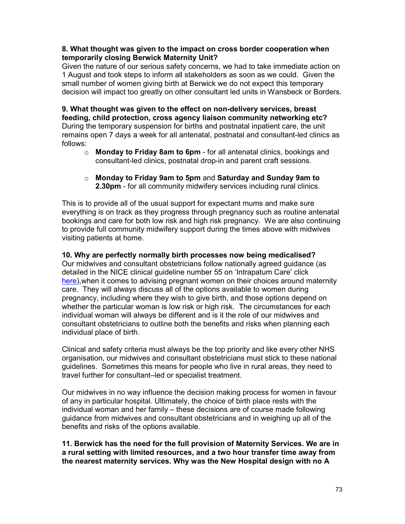## **8. What thought was given to the impact on cross border cooperation when temporarily closing Berwick Maternity Unit?**

Given the nature of our serious safety concerns, we had to take immediate action on 1 August and took steps to inform all stakeholders as soon as we could. Given the small number of women giving birth at Berwick we do not expect this temporary decision will impact too greatly on other consultant led units in Wansbeck or Borders.

**9. What thought was given to the effect on non-delivery services, breast feeding, child protection, cross agency liaison community networking etc?**  During the temporary suspension for births and postnatal inpatient care, the unit remains open 7 days a week for all antenatal, postnatal and consultant-led clinics as follows:

- o **Monday to Friday 8am to 6pm** for all antenatal clinics, bookings and consultant-led clinics, postnatal drop-in and parent craft sessions.
- o **Monday to Friday 9am to 5pm** and **Saturday and Sunday 9am to 2.30pm** - for all community midwifery services including rural clinics.

This is to provide all of the usual support for expectant mums and make sure everything is on track as they progress through pregnancy such as routine antenatal bookings and care for both low risk and high risk pregnancy. We are also continuing to provide full community midwifery support during the times above with midwives visiting patients at home.

## **10. Why are perfectly normally birth processes now being medicalised?**

Our midwives and consultant obstetricians follow nationally agreed guidance (as detailed in the NICE clinical guideline number 55 on 'Intrapatum Care' click here), when it comes to advising pregnant women on their choices around maternity care. They will always discuss all of the options available to women during pregnancy, including where they wish to give birth, and those options depend on whether the particular woman is low risk or high risk. The circumstances for each individual woman will always be different and is it the role of our midwives and consultant obstetricians to outline both the benefits and risks when planning each individual place of birth.

Clinical and safety criteria must always be the top priority and like every other NHS organisation, our midwives and consultant obstetricians must stick to these national guidelines. Sometimes this means for people who live in rural areas, they need to travel further for consultant–led or specialist treatment.

Our midwives in no way influence the decision making process for women in favour of any in particular hospital. Ultimately, the choice of birth place rests with the individual woman and her family – these decisions are of course made following guidance from midwives and consultant obstetricians and in weighing up all of the benefits and risks of the options available.

**11. Berwick has the need for the full provision of Maternity Services. We are in a rural setting with limited resources, and a two hour transfer time away from the nearest maternity services. Why was the New Hospital design with no A**